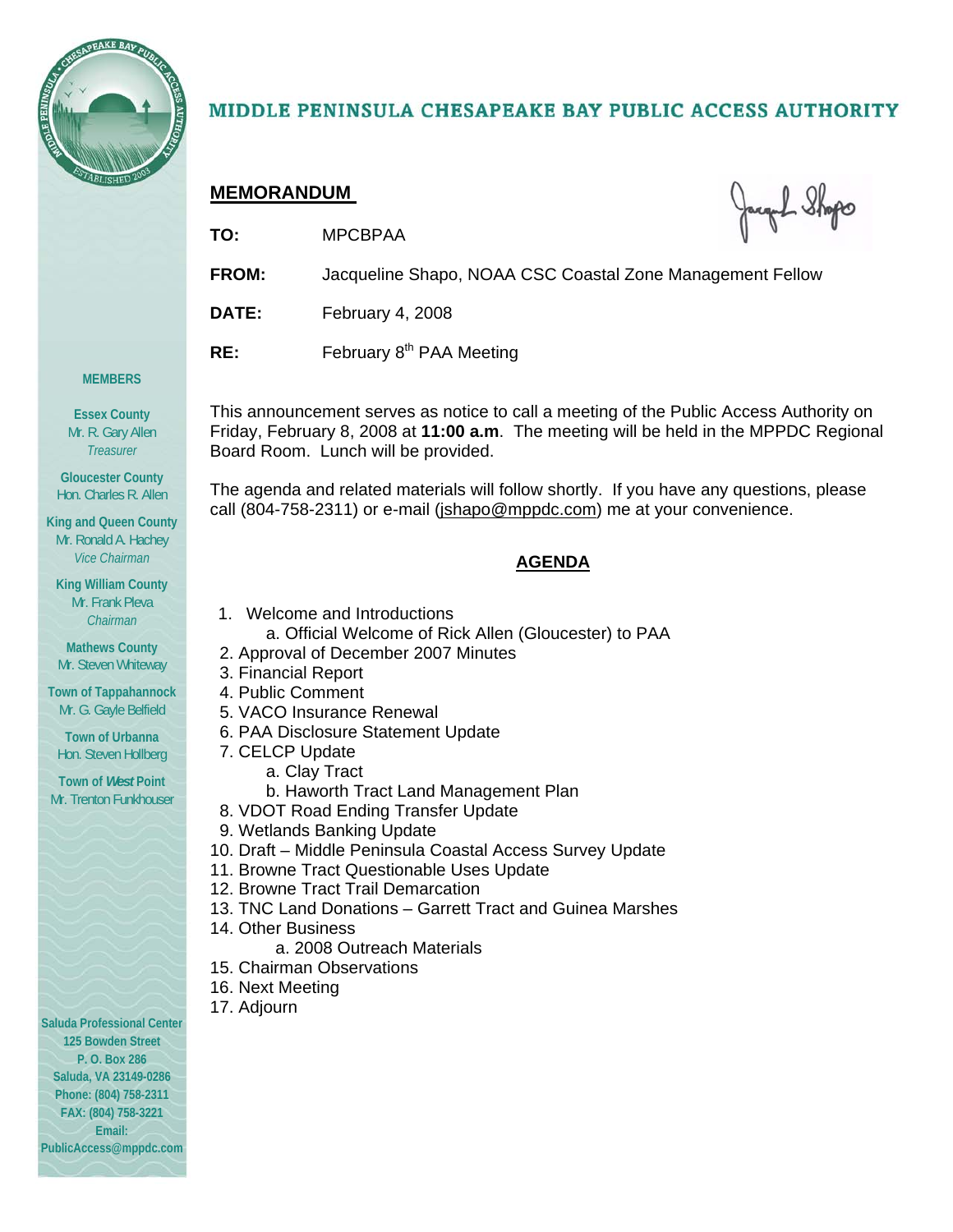

## **MEMORANDUM**

Jacquel Shops

| TO: | <b>MPCBPAA</b> |
|-----|----------------|
|     |                |

- **FROM:** Jacqueline Shapo, NOAA CSC Coastal Zone Management Fellow
- **DATE:** February 4, 2008
- **RE:** February 8<sup>th</sup> PAA Meeting

#### **MEMBERS**

**Essex County**  Mr. R. Gary Allen *Treasurer* 

**Gloucester County**  Hon. Charles R. Allen

**King and Queen County**  Mr. Ronald A. Hachey *Vice Chairman* 

#### **King William County**  Mr. Frank Pleva *Chairman*

**Mathews County**  Mr. Steven Whiteway

**Town of Tappahannock**  Mr. G. Gayle Belfield

**Town of Urbanna**  Hon. Steven Hollberg

**Town of** *West* **Point**  Mr. Trenton Funkhouser

**Saluda Professional Center 125 Bowden Street P. O. Box 286 Saluda, VA 23149-0286 Phone: (804) 758-2311 FAX: (804) 758-3221 Email: PublicAccess@mppdc.com**  This announcement serves as notice to call a meeting of the Public Access Authority on Friday, February 8, 2008 at **11:00 a.m**. The meeting will be held in the MPPDC Regional Board Room. Lunch will be provided.

The agenda and related materials will follow shortly. If you have any questions, please call (804-758-2311) or e-mail (jshapo@mppdc.com) me at your convenience.

# **AGENDA**

- 1. Welcome and Introductions
	- a. Official Welcome of Rick Allen (Gloucester) to PAA
- 2. Approval of December 2007 Minutes
- 3. Financial Report
- 4. Public Comment
- 5. VACO Insurance Renewal
- 6. PAA Disclosure Statement Update
- 7. CELCP Update
	- a. Clay Tract
	- b. Haworth Tract Land Management Plan
- 8. VDOT Road Ending Transfer Update
- 9. Wetlands Banking Update
- 10. Draft Middle Peninsula Coastal Access Survey Update
- 11. Browne Tract Questionable Uses Update
- 12. Browne Tract Trail Demarcation
- 13. TNC Land Donations Garrett Tract and Guinea Marshes
- 14. Other Business
	- a. 2008 Outreach Materials
- 15. Chairman Observations
- 16. Next Meeting
- 17. Adjourn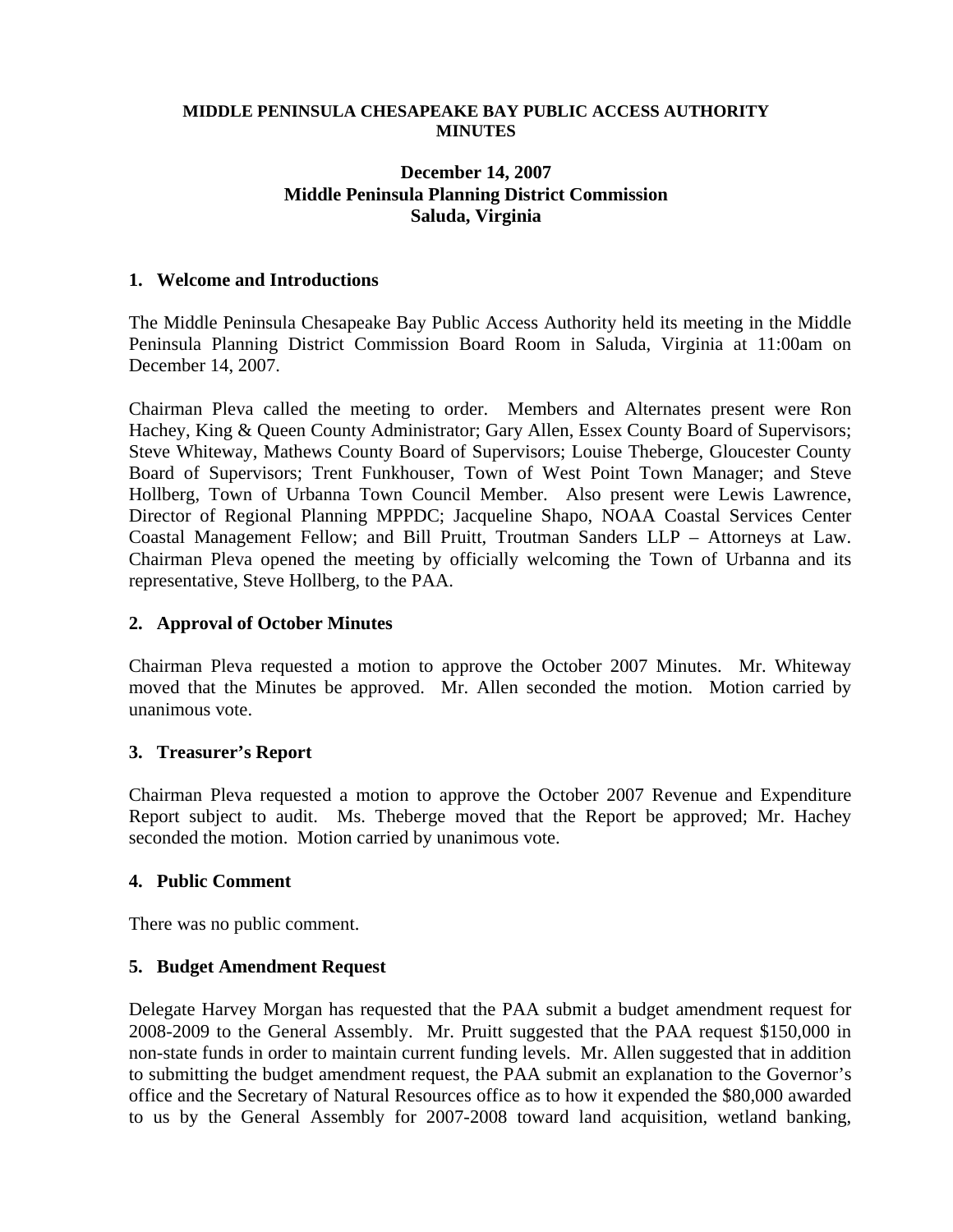## **December 14, 2007 Middle Peninsula Planning District Commission Saluda, Virginia**

## **1. Welcome and Introductions**

The Middle Peninsula Chesapeake Bay Public Access Authority held its meeting in the Middle Peninsula Planning District Commission Board Room in Saluda, Virginia at 11:00am on December 14, 2007.

Chairman Pleva called the meeting to order. Members and Alternates present were Ron Hachey, King & Queen County Administrator; Gary Allen, Essex County Board of Supervisors; Steve Whiteway, Mathews County Board of Supervisors; Louise Theberge, Gloucester County Board of Supervisors; Trent Funkhouser, Town of West Point Town Manager; and Steve Hollberg, Town of Urbanna Town Council Member. Also present were Lewis Lawrence, Director of Regional Planning MPPDC; Jacqueline Shapo, NOAA Coastal Services Center Coastal Management Fellow; and Bill Pruitt, Troutman Sanders LLP – Attorneys at Law. Chairman Pleva opened the meeting by officially welcoming the Town of Urbanna and its representative, Steve Hollberg, to the PAA.

## **2. Approval of October Minutes**

Chairman Pleva requested a motion to approve the October 2007 Minutes. Mr. Whiteway moved that the Minutes be approved. Mr. Allen seconded the motion. Motion carried by unanimous vote.

## **3. Treasurer's Report**

Chairman Pleva requested a motion to approve the October 2007 Revenue and Expenditure Report subject to audit. Ms. Theberge moved that the Report be approved; Mr. Hachey seconded the motion. Motion carried by unanimous vote.

## **4. Public Comment**

There was no public comment.

## **5. Budget Amendment Request**

Delegate Harvey Morgan has requested that the PAA submit a budget amendment request for 2008-2009 to the General Assembly. Mr. Pruitt suggested that the PAA request \$150,000 in non-state funds in order to maintain current funding levels. Mr. Allen suggested that in addition to submitting the budget amendment request, the PAA submit an explanation to the Governor's office and the Secretary of Natural Resources office as to how it expended the \$80,000 awarded to us by the General Assembly for 2007-2008 toward land acquisition, wetland banking,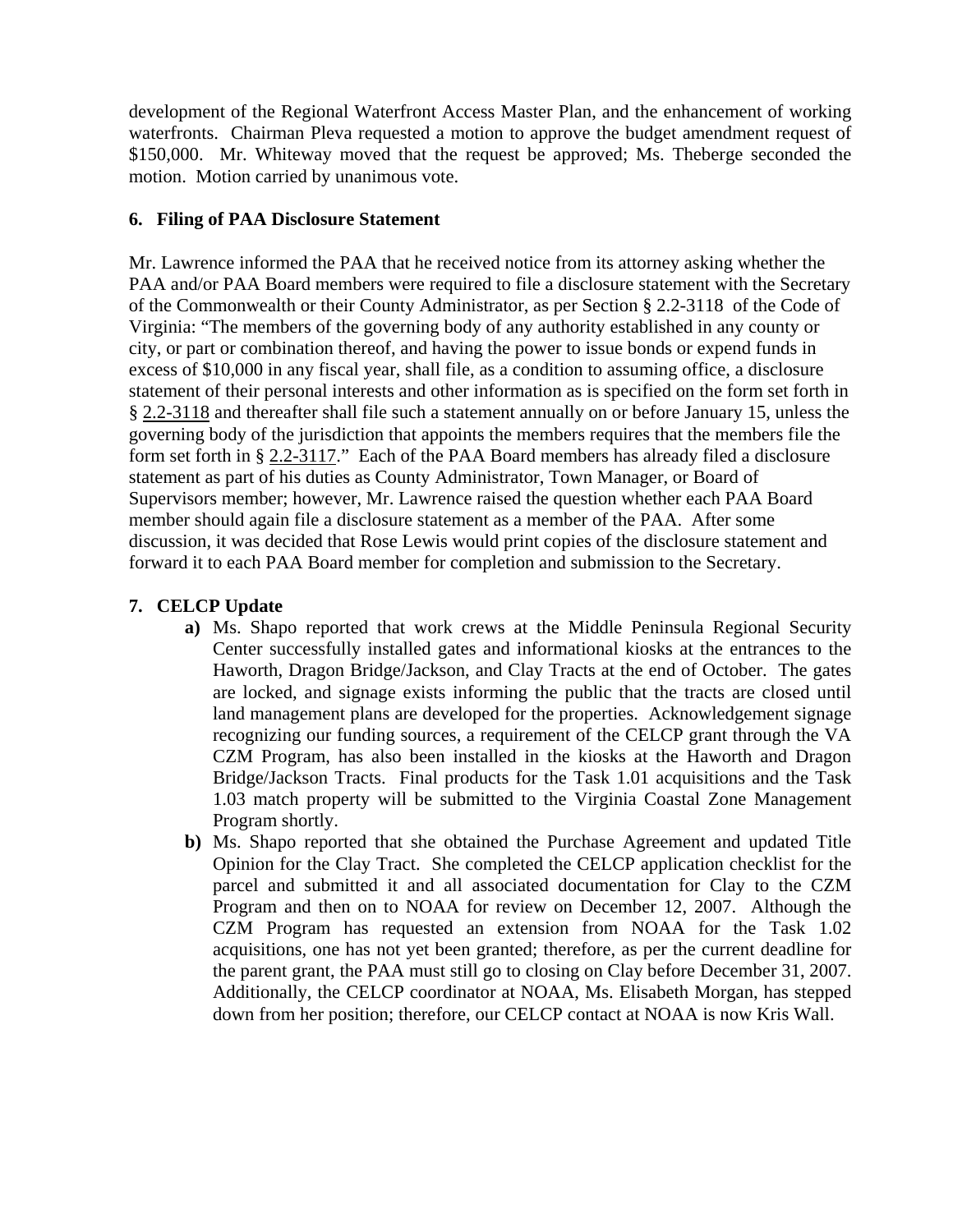development of the Regional Waterfront Access Master Plan, and the enhancement of working waterfronts. Chairman Pleva requested a motion to approve the budget amendment request of \$150,000. Mr. Whiteway moved that the request be approved; Ms. Theberge seconded the motion. Motion carried by unanimous vote.

# **6. Filing of PAA Disclosure Statement**

Mr. Lawrence informed the PAA that he received notice from its attorney asking whether the PAA and/or PAA Board members were required to file a disclosure statement with the Secretary of the Commonwealth or their County Administrator, as per Section § 2.2-3118 of the Code of Virginia: "The members of the governing body of any authority established in any county or city, or part or combination thereof, and having the power to issue bonds or expend funds in excess of \$10,000 in any fiscal year, shall file, as a condition to assuming office, a disclosure statement of their personal interests and other information as is specified on the form set forth in § 2.2-3118 and thereafter shall file such a statement annually on or before January 15, unless the governing body of the jurisdiction that appoints the members requires that the members file the form set forth in § 2.2-3117." Each of the PAA Board members has already filed a disclosure statement as part of his duties as County Administrator, Town Manager, or Board of Supervisors member; however, Mr. Lawrence raised the question whether each PAA Board member should again file a disclosure statement as a member of the PAA. After some discussion, it was decided that Rose Lewis would print copies of the disclosure statement and forward it to each PAA Board member for completion and submission to the Secretary.

# **7. CELCP Update**

- **a)** Ms. Shapo reported that work crews at the Middle Peninsula Regional Security Center successfully installed gates and informational kiosks at the entrances to the Haworth, Dragon Bridge/Jackson, and Clay Tracts at the end of October. The gates are locked, and signage exists informing the public that the tracts are closed until land management plans are developed for the properties. Acknowledgement signage recognizing our funding sources, a requirement of the CELCP grant through the VA CZM Program, has also been installed in the kiosks at the Haworth and Dragon Bridge/Jackson Tracts. Final products for the Task 1.01 acquisitions and the Task 1.03 match property will be submitted to the Virginia Coastal Zone Management Program shortly.
- **b)** Ms. Shapo reported that she obtained the Purchase Agreement and updated Title Opinion for the Clay Tract. She completed the CELCP application checklist for the parcel and submitted it and all associated documentation for Clay to the CZM Program and then on to NOAA for review on December 12, 2007. Although the CZM Program has requested an extension from NOAA for the Task 1.02 acquisitions, one has not yet been granted; therefore, as per the current deadline for the parent grant, the PAA must still go to closing on Clay before December 31, 2007. Additionally, the CELCP coordinator at NOAA, Ms. Elisabeth Morgan, has stepped down from her position; therefore, our CELCP contact at NOAA is now Kris Wall.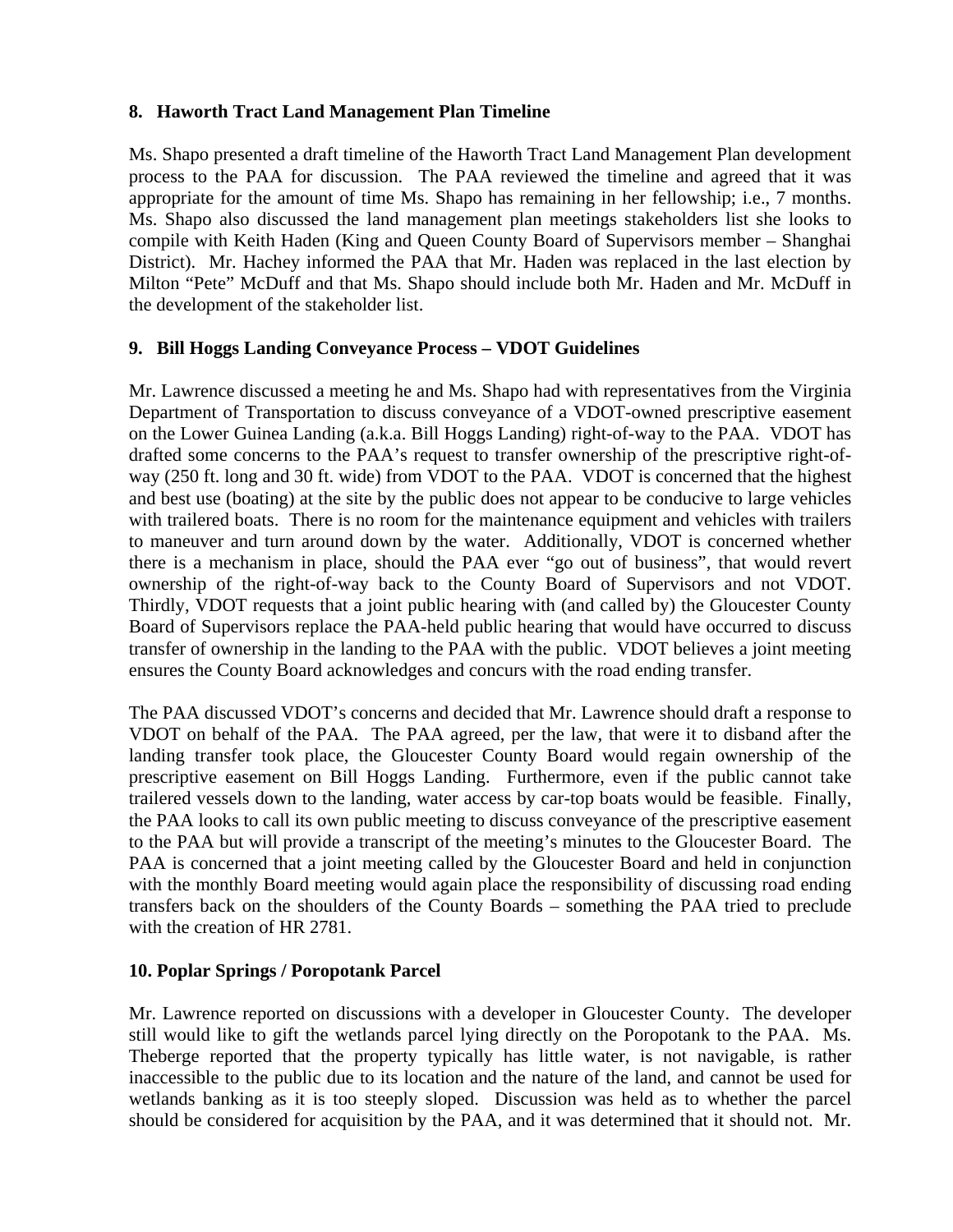# **8. Haworth Tract Land Management Plan Timeline**

Ms. Shapo presented a draft timeline of the Haworth Tract Land Management Plan development process to the PAA for discussion. The PAA reviewed the timeline and agreed that it was appropriate for the amount of time Ms. Shapo has remaining in her fellowship; i.e., 7 months. Ms. Shapo also discussed the land management plan meetings stakeholders list she looks to compile with Keith Haden (King and Queen County Board of Supervisors member – Shanghai District). Mr. Hachey informed the PAA that Mr. Haden was replaced in the last election by Milton "Pete" McDuff and that Ms. Shapo should include both Mr. Haden and Mr. McDuff in the development of the stakeholder list.

## **9. Bill Hoggs Landing Conveyance Process – VDOT Guidelines**

Mr. Lawrence discussed a meeting he and Ms. Shapo had with representatives from the Virginia Department of Transportation to discuss conveyance of a VDOT-owned prescriptive easement on the Lower Guinea Landing (a.k.a. Bill Hoggs Landing) right-of-way to the PAA. VDOT has drafted some concerns to the PAA's request to transfer ownership of the prescriptive right-ofway (250 ft. long and 30 ft. wide) from VDOT to the PAA. VDOT is concerned that the highest and best use (boating) at the site by the public does not appear to be conducive to large vehicles with trailered boats. There is no room for the maintenance equipment and vehicles with trailers to maneuver and turn around down by the water. Additionally, VDOT is concerned whether there is a mechanism in place, should the PAA ever "go out of business", that would revert ownership of the right-of-way back to the County Board of Supervisors and not VDOT. Thirdly, VDOT requests that a joint public hearing with (and called by) the Gloucester County Board of Supervisors replace the PAA-held public hearing that would have occurred to discuss transfer of ownership in the landing to the PAA with the public. VDOT believes a joint meeting ensures the County Board acknowledges and concurs with the road ending transfer.

The PAA discussed VDOT's concerns and decided that Mr. Lawrence should draft a response to VDOT on behalf of the PAA. The PAA agreed, per the law, that were it to disband after the landing transfer took place, the Gloucester County Board would regain ownership of the prescriptive easement on Bill Hoggs Landing. Furthermore, even if the public cannot take trailered vessels down to the landing, water access by car-top boats would be feasible. Finally, the PAA looks to call its own public meeting to discuss conveyance of the prescriptive easement to the PAA but will provide a transcript of the meeting's minutes to the Gloucester Board. The PAA is concerned that a joint meeting called by the Gloucester Board and held in conjunction with the monthly Board meeting would again place the responsibility of discussing road ending transfers back on the shoulders of the County Boards – something the PAA tried to preclude with the creation of HR 2781.

# **10. Poplar Springs / Poropotank Parcel**

Mr. Lawrence reported on discussions with a developer in Gloucester County. The developer still would like to gift the wetlands parcel lying directly on the Poropotank to the PAA. Ms. Theberge reported that the property typically has little water, is not navigable, is rather inaccessible to the public due to its location and the nature of the land, and cannot be used for wetlands banking as it is too steeply sloped. Discussion was held as to whether the parcel should be considered for acquisition by the PAA, and it was determined that it should not. Mr.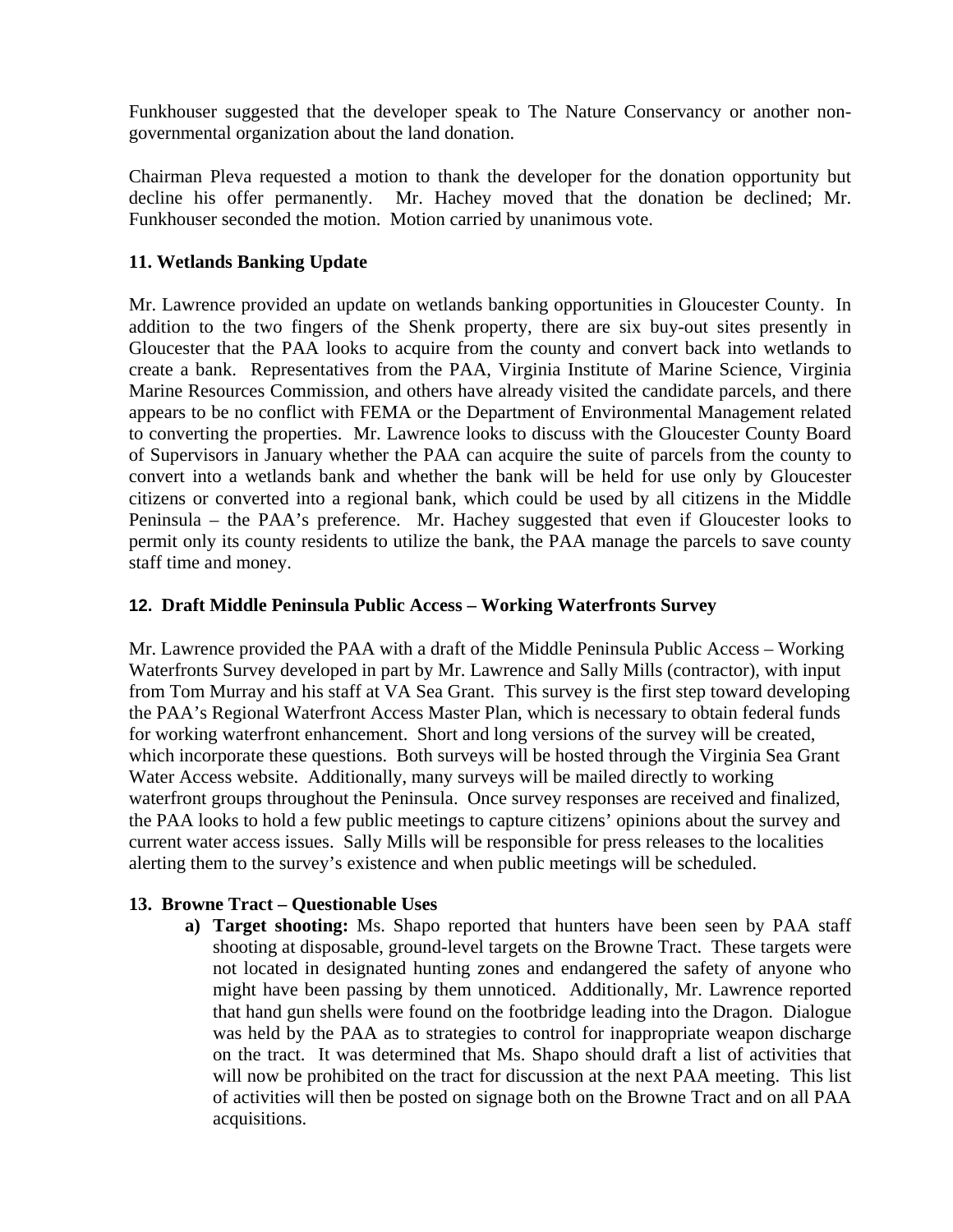Funkhouser suggested that the developer speak to The Nature Conservancy or another nongovernmental organization about the land donation.

Chairman Pleva requested a motion to thank the developer for the donation opportunity but decline his offer permanently. Mr. Hachey moved that the donation be declined; Mr. Funkhouser seconded the motion. Motion carried by unanimous vote.

# **11. Wetlands Banking Update**

Mr. Lawrence provided an update on wetlands banking opportunities in Gloucester County. In addition to the two fingers of the Shenk property, there are six buy-out sites presently in Gloucester that the PAA looks to acquire from the county and convert back into wetlands to create a bank. Representatives from the PAA, Virginia Institute of Marine Science, Virginia Marine Resources Commission, and others have already visited the candidate parcels, and there appears to be no conflict with FEMA or the Department of Environmental Management related to converting the properties. Mr. Lawrence looks to discuss with the Gloucester County Board of Supervisors in January whether the PAA can acquire the suite of parcels from the county to convert into a wetlands bank and whether the bank will be held for use only by Gloucester citizens or converted into a regional bank, which could be used by all citizens in the Middle Peninsula – the PAA's preference. Mr. Hachey suggested that even if Gloucester looks to permit only its county residents to utilize the bank, the PAA manage the parcels to save county staff time and money.

# **12. Draft Middle Peninsula Public Access – Working Waterfronts Survey**

Mr. Lawrence provided the PAA with a draft of the Middle Peninsula Public Access – Working Waterfronts Survey developed in part by Mr. Lawrence and Sally Mills (contractor), with input from Tom Murray and his staff at VA Sea Grant. This survey is the first step toward developing the PAA's Regional Waterfront Access Master Plan, which is necessary to obtain federal funds for working waterfront enhancement. Short and long versions of the survey will be created, which incorporate these questions. Both surveys will be hosted through the Virginia Sea Grant Water Access website. Additionally, many surveys will be mailed directly to working waterfront groups throughout the Peninsula. Once survey responses are received and finalized, the PAA looks to hold a few public meetings to capture citizens' opinions about the survey and current water access issues. Sally Mills will be responsible for press releases to the localities alerting them to the survey's existence and when public meetings will be scheduled.

# **13. Browne Tract – Questionable Uses**

**a) Target shooting:** Ms. Shapo reported that hunters have been seen by PAA staff shooting at disposable, ground-level targets on the Browne Tract. These targets were not located in designated hunting zones and endangered the safety of anyone who might have been passing by them unnoticed. Additionally, Mr. Lawrence reported that hand gun shells were found on the footbridge leading into the Dragon. Dialogue was held by the PAA as to strategies to control for inappropriate weapon discharge on the tract. It was determined that Ms. Shapo should draft a list of activities that will now be prohibited on the tract for discussion at the next PAA meeting. This list of activities will then be posted on signage both on the Browne Tract and on all PAA acquisitions.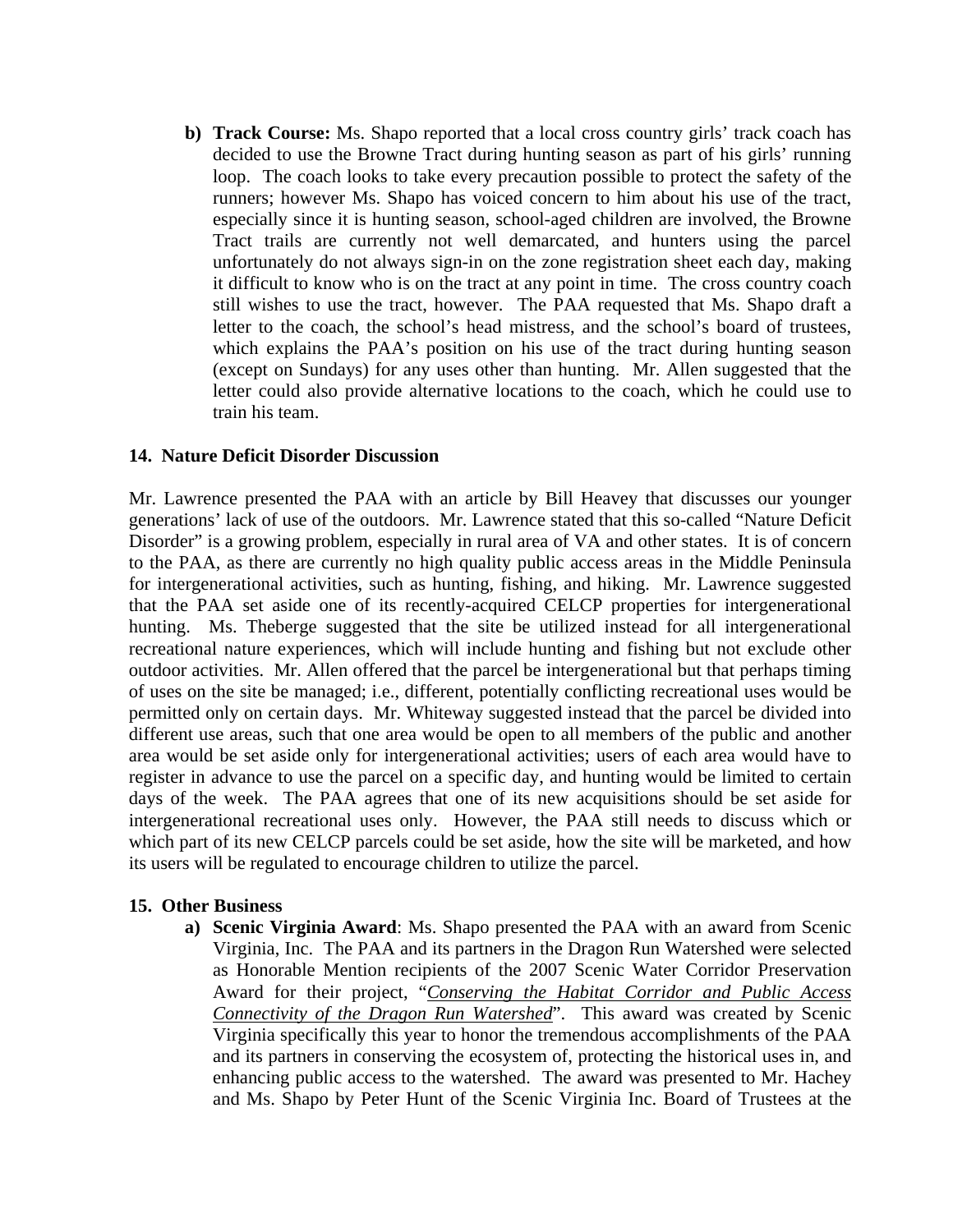**b) Track Course:** Ms. Shapo reported that a local cross country girls' track coach has decided to use the Browne Tract during hunting season as part of his girls' running loop. The coach looks to take every precaution possible to protect the safety of the runners; however Ms. Shapo has voiced concern to him about his use of the tract, especially since it is hunting season, school-aged children are involved, the Browne Tract trails are currently not well demarcated, and hunters using the parcel unfortunately do not always sign-in on the zone registration sheet each day, making it difficult to know who is on the tract at any point in time. The cross country coach still wishes to use the tract, however. The PAA requested that Ms. Shapo draft a letter to the coach, the school's head mistress, and the school's board of trustees, which explains the PAA's position on his use of the tract during hunting season (except on Sundays) for any uses other than hunting. Mr. Allen suggested that the letter could also provide alternative locations to the coach, which he could use to train his team.

## **14. Nature Deficit Disorder Discussion**

Mr. Lawrence presented the PAA with an article by Bill Heavey that discusses our younger generations' lack of use of the outdoors. Mr. Lawrence stated that this so-called "Nature Deficit Disorder" is a growing problem, especially in rural area of VA and other states. It is of concern to the PAA, as there are currently no high quality public access areas in the Middle Peninsula for intergenerational activities, such as hunting, fishing, and hiking. Mr. Lawrence suggested that the PAA set aside one of its recently-acquired CELCP properties for intergenerational hunting. Ms. Theberge suggested that the site be utilized instead for all intergenerational recreational nature experiences, which will include hunting and fishing but not exclude other outdoor activities. Mr. Allen offered that the parcel be intergenerational but that perhaps timing of uses on the site be managed; i.e., different, potentially conflicting recreational uses would be permitted only on certain days. Mr. Whiteway suggested instead that the parcel be divided into different use areas, such that one area would be open to all members of the public and another area would be set aside only for intergenerational activities; users of each area would have to register in advance to use the parcel on a specific day, and hunting would be limited to certain days of the week. The PAA agrees that one of its new acquisitions should be set aside for intergenerational recreational uses only. However, the PAA still needs to discuss which or which part of its new CELCP parcels could be set aside, how the site will be marketed, and how its users will be regulated to encourage children to utilize the parcel.

## **15. Other Business**

**a) Scenic Virginia Award**: Ms. Shapo presented the PAA with an award from Scenic Virginia, Inc. The PAA and its partners in the Dragon Run Watershed were selected as Honorable Mention recipients of the 2007 Scenic Water Corridor Preservation Award for their project, "*Conserving the Habitat Corridor and Public Access Connectivity of the Dragon Run Watershed*". This award was created by Scenic Virginia specifically this year to honor the tremendous accomplishments of the PAA and its partners in conserving the ecosystem of, protecting the historical uses in, and enhancing public access to the watershed. The award was presented to Mr. Hachey and Ms. Shapo by Peter Hunt of the Scenic Virginia Inc. Board of Trustees at the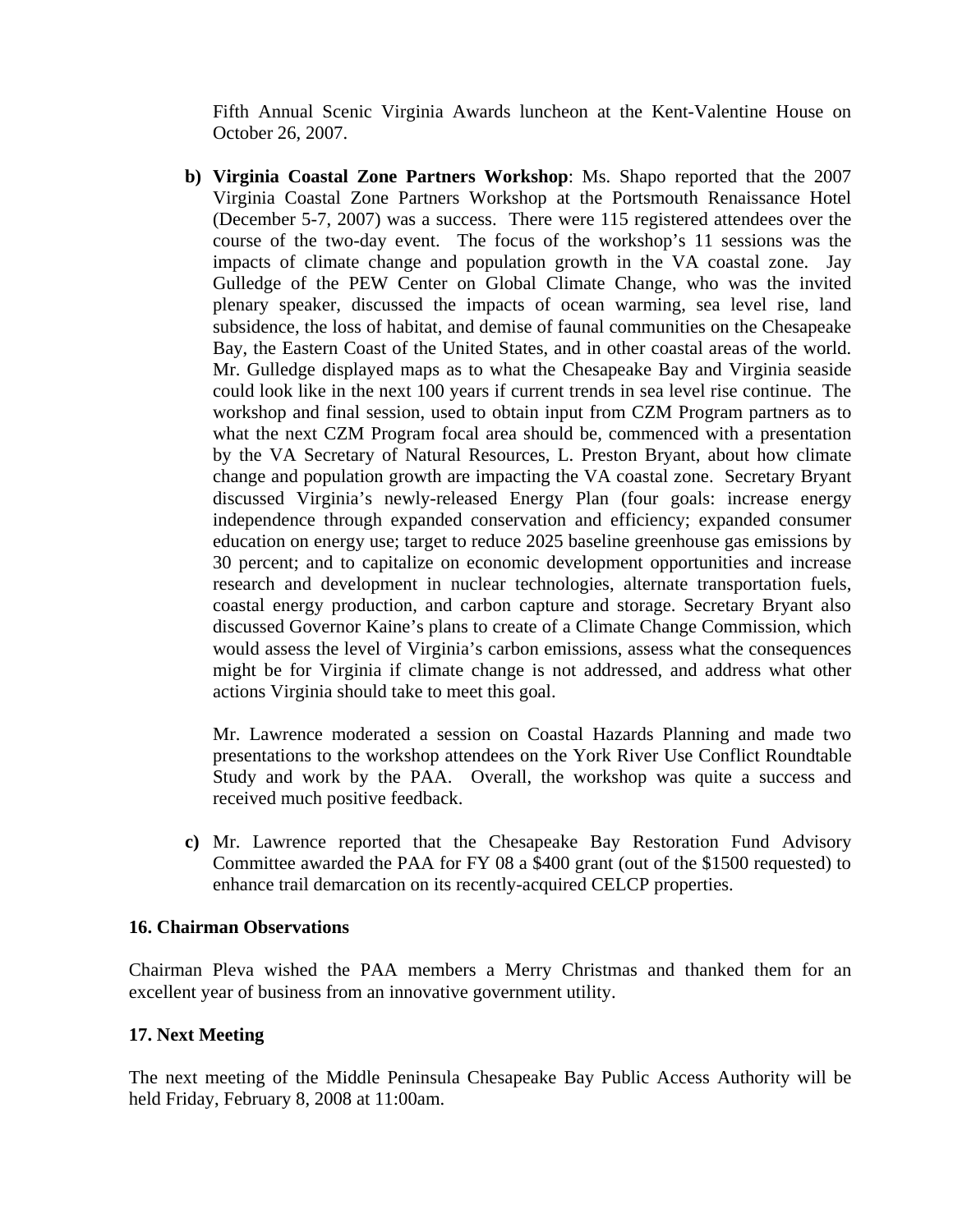Fifth Annual Scenic Virginia Awards luncheon at the Kent-Valentine House on October 26, 2007.

**b) Virginia Coastal Zone Partners Workshop**: Ms. Shapo reported that the 2007 Virginia Coastal Zone Partners Workshop at the Portsmouth Renaissance Hotel (December 5-7, 2007) was a success. There were 115 registered attendees over the course of the two-day event. The focus of the workshop's 11 sessions was the impacts of climate change and population growth in the VA coastal zone. Jay Gulledge of the PEW Center on Global Climate Change, who was the invited plenary speaker, discussed the impacts of ocean warming, sea level rise, land subsidence, the loss of habitat, and demise of faunal communities on the Chesapeake Bay, the Eastern Coast of the United States, and in other coastal areas of the world. Mr. Gulledge displayed maps as to what the Chesapeake Bay and Virginia seaside could look like in the next 100 years if current trends in sea level rise continue. The workshop and final session, used to obtain input from CZM Program partners as to what the next CZM Program focal area should be, commenced with a presentation by the VA Secretary of Natural Resources, L. Preston Bryant, about how climate change and population growth are impacting the VA coastal zone. Secretary Bryant discussed Virginia's newly-released Energy Plan (four goals: increase energy independence through expanded conservation and efficiency; expanded consumer education on energy use; target to reduce 2025 baseline greenhouse gas emissions by 30 percent; and to capitalize on economic development opportunities and increase research and development in nuclear technologies, alternate transportation fuels, coastal energy production, and carbon capture and storage. Secretary Bryant also discussed Governor Kaine's plans to create of a Climate Change Commission, which would assess the level of Virginia's carbon emissions, assess what the consequences might be for Virginia if climate change is not addressed, and address what other actions Virginia should take to meet this goal.

Mr. Lawrence moderated a session on Coastal Hazards Planning and made two presentations to the workshop attendees on the York River Use Conflict Roundtable Study and work by the PAA. Overall, the workshop was quite a success and received much positive feedback.

**c)** Mr. Lawrence reported that the Chesapeake Bay Restoration Fund Advisory Committee awarded the PAA for FY 08 a \$400 grant (out of the \$1500 requested) to enhance trail demarcation on its recently-acquired CELCP properties.

# **16. Chairman Observations**

Chairman Pleva wished the PAA members a Merry Christmas and thanked them for an excellent year of business from an innovative government utility.

## **17. Next Meeting**

The next meeting of the Middle Peninsula Chesapeake Bay Public Access Authority will be held Friday, February 8, 2008 at 11:00am.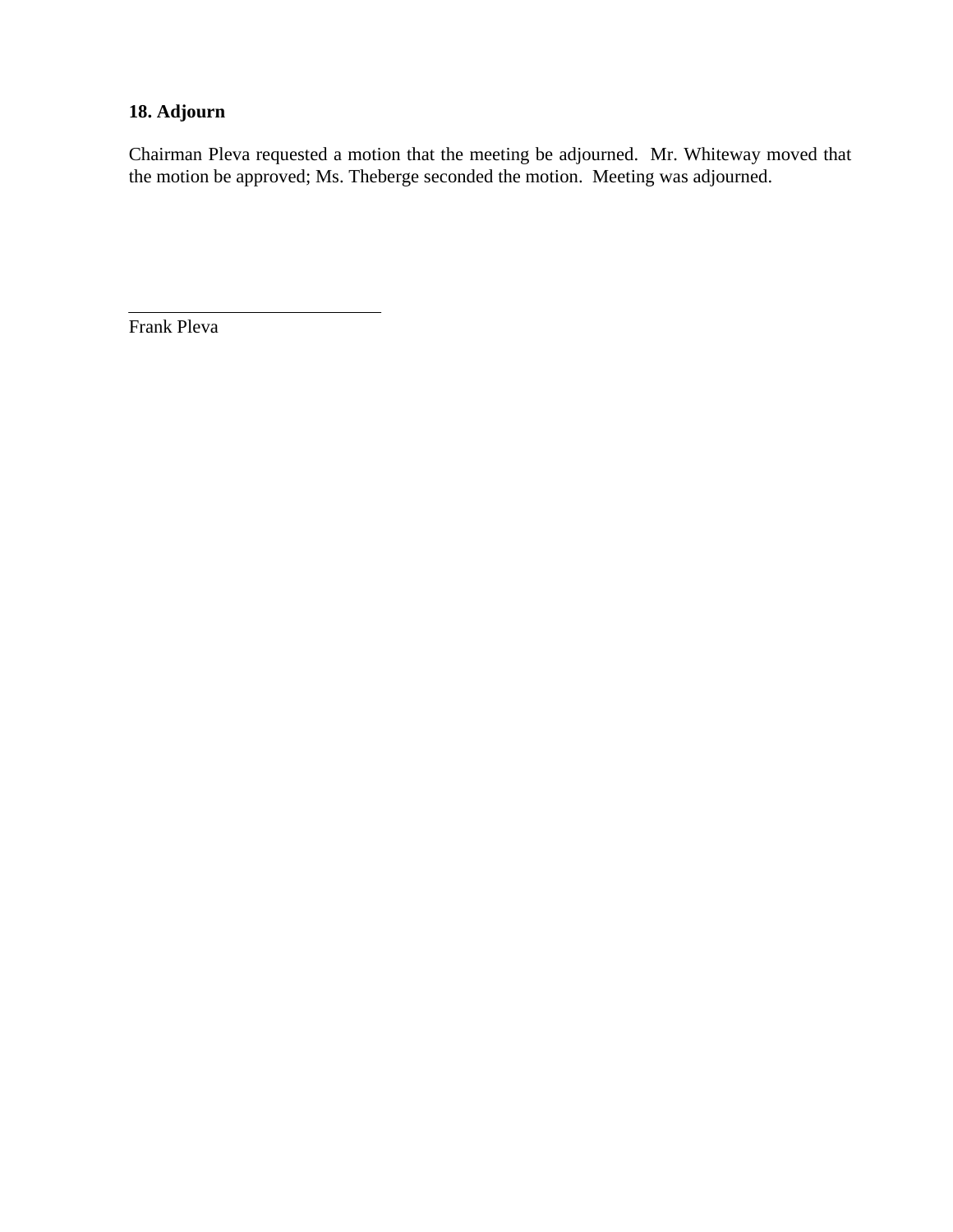# **18. Adjourn**

Chairman Pleva requested a motion that the meeting be adjourned. Mr. Whiteway moved that the motion be approved; Ms. Theberge seconded the motion. Meeting was adjourned.

Frank Pleva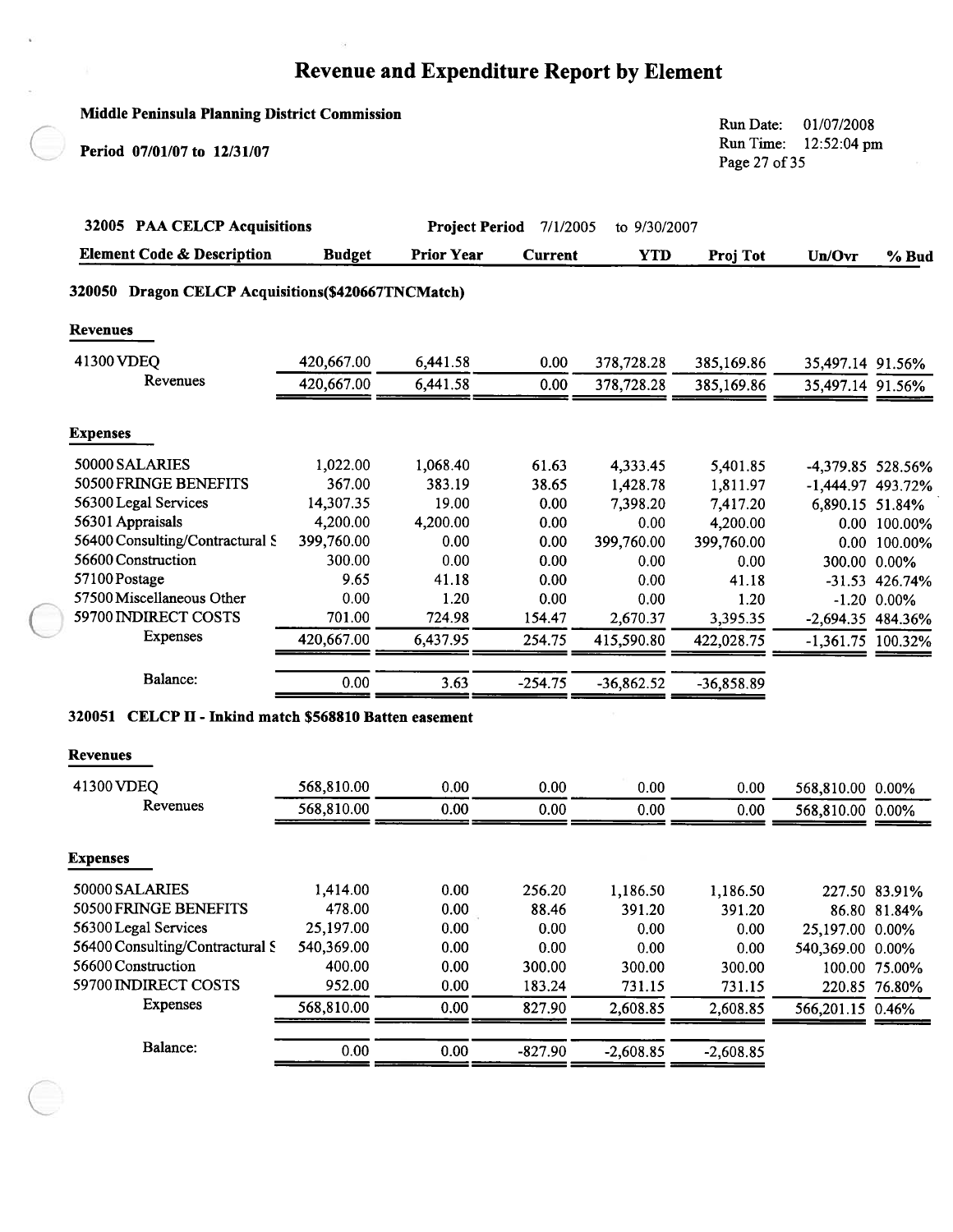$\overline{\Omega}$ 

 $\hat{\mathbf{r}}$ 

 $\sim$ 

| <b>Middle Peninsula Planning District Commission</b><br>Period 07/01/07 to 12/31/07 |                          |                       |                 | Run Date:<br>01/07/2008<br>Run Time:<br>12:52:04 pm<br>Page 27 of 35 |                    |                                      |               |
|-------------------------------------------------------------------------------------|--------------------------|-----------------------|-----------------|----------------------------------------------------------------------|--------------------|--------------------------------------|---------------|
| 32005 PAA CELCP Acquisitions                                                        |                          | <b>Project Period</b> | 7/1/2005        | to 9/30/2007                                                         |                    |                                      |               |
| <b>Element Code &amp; Description</b>                                               | <b>Budget</b>            | <b>Prior Year</b>     | <b>Current</b>  | <b>YTD</b>                                                           | Proj Tot           | Un/Ovr                               | % Bud         |
| 320050 Dragon CELCP Acquisitions (\$420667TNCMatch)                                 |                          |                       |                 |                                                                      |                    |                                      |               |
| <b>Revenues</b>                                                                     |                          |                       |                 |                                                                      |                    |                                      |               |
| 41300 VDEQ                                                                          | 420,667.00               | 6,441.58              | 0.00            | 378,728.28                                                           | 385,169.86         | 35,497.14 91.56%                     |               |
| Revenues                                                                            | 420,667.00               | 6,441.58              | 0.00            | 378,728.28                                                           | 385,169.86         | 35,497.14 91.56%                     |               |
| <b>Expenses</b>                                                                     |                          |                       |                 |                                                                      |                    |                                      |               |
| 50000 SALARIES                                                                      | 1,022.00                 | 1,068.40              | 61.63           | 4,333.45                                                             | 5,401.85           | -4,379.85 528.56%                    |               |
| 50500 FRINGE BENEFITS                                                               | 367.00                   | 383.19                | 38.65           | 1,428.78                                                             | 1,811.97           | -1,444.97 493.72%                    |               |
| 56300 Legal Services                                                                | 14,307.35                | 19.00                 | 0.00            | 7,398.20                                                             | 7,417.20           | 6,890.15 51.84%                      |               |
| 56301 Appraisals                                                                    | 4,200.00                 | 4,200.00              | 0.00            | 0.00                                                                 | 4,200.00           |                                      | 0.00 100.00%  |
| 56400 Consulting/Contractural S                                                     | 399,760.00               | 0.00                  | 0.00            | 399,760.00                                                           | 399,760.00         |                                      | 0.00 100.00%  |
| 56600 Construction                                                                  | 300.00                   | 0.00                  | 0.00            | 0.00                                                                 | 0.00               | 300.00 0.00%                         |               |
| 57100 Postage                                                                       | 9.65                     | 41.18                 | 0.00            | 0.00                                                                 | 41.18              | $-31.53$ 426.74%                     |               |
| 57500 Miscellaneous Other                                                           | 0.00                     | 1.20                  | 0.00            | 0.00                                                                 | 1.20               |                                      | $-1.20$ 0.00% |
| 59700 INDIRECT COSTS                                                                | 701.00                   | 724.98                | 154.47          | 2,670.37                                                             | 3,395.35           | -2,694.35 484.36%                    |               |
| Expenses                                                                            | 420,667.00               | 6,437.95              | 254.75          | 415,590.80                                                           | 422,028.75         | $-1,361.75$ 100.32%                  |               |
| Balance:                                                                            | 0.00                     | 3.63                  | $-254.75$       | $-36,862.52$                                                         | $-36,858.89$       |                                      |               |
| 320051 CELCP II - Inkind match \$568810 Batten easement<br><b>Revenues</b>          |                          |                       |                 |                                                                      |                    |                                      |               |
| 41300 VDEQ<br>Revenues                                                              | 568,810.00<br>568,810.00 | 0.00<br>0.00          | 0.00<br>0.00    | 0.00<br>0.00                                                         | 0.00<br>0.00       | 568,810.00 0.00%<br>568,810.00 0.00% |               |
| <b>Expenses</b>                                                                     |                          |                       |                 |                                                                      |                    |                                      |               |
| 50000 SALARIES                                                                      |                          |                       |                 |                                                                      |                    |                                      |               |
| 50500 FRINGE BENEFITS                                                               | 1,414.00<br>478.00       | 0.00<br>0.00          | 256.20<br>88.46 | 1,186.50<br>391.20                                                   | 1,186.50           | 227.50 83.91%                        |               |
| 56300 Legal Services                                                                | 25,197.00                | 0.00                  | 0.00            |                                                                      | 391.20             |                                      |               |
| 56400 Consulting/Contractural S                                                     | 540,369.00               | 0.00                  | 0.00            | 0.00<br>0.00                                                         | 0.00               | 25,197.00 0.00%                      |               |
| 56600 Construction                                                                  | 400.00                   | 0.00                  | 300.00          | 300.00                                                               | 0.00               | 540,369.00 0.00%                     |               |
| 59700 INDIRECT COSTS                                                                | 952.00                   | 0.00                  | 183.24          | 731.15                                                               | 300.00             | 100.00 75.00%                        |               |
| <b>Expenses</b>                                                                     | 568,810.00               | 0.00                  | 827.90          | 2,608.85                                                             | 731.15<br>2,608.85 | 220.85 76.80%<br>566,201.15 0.46%    | 86.80 81.84%  |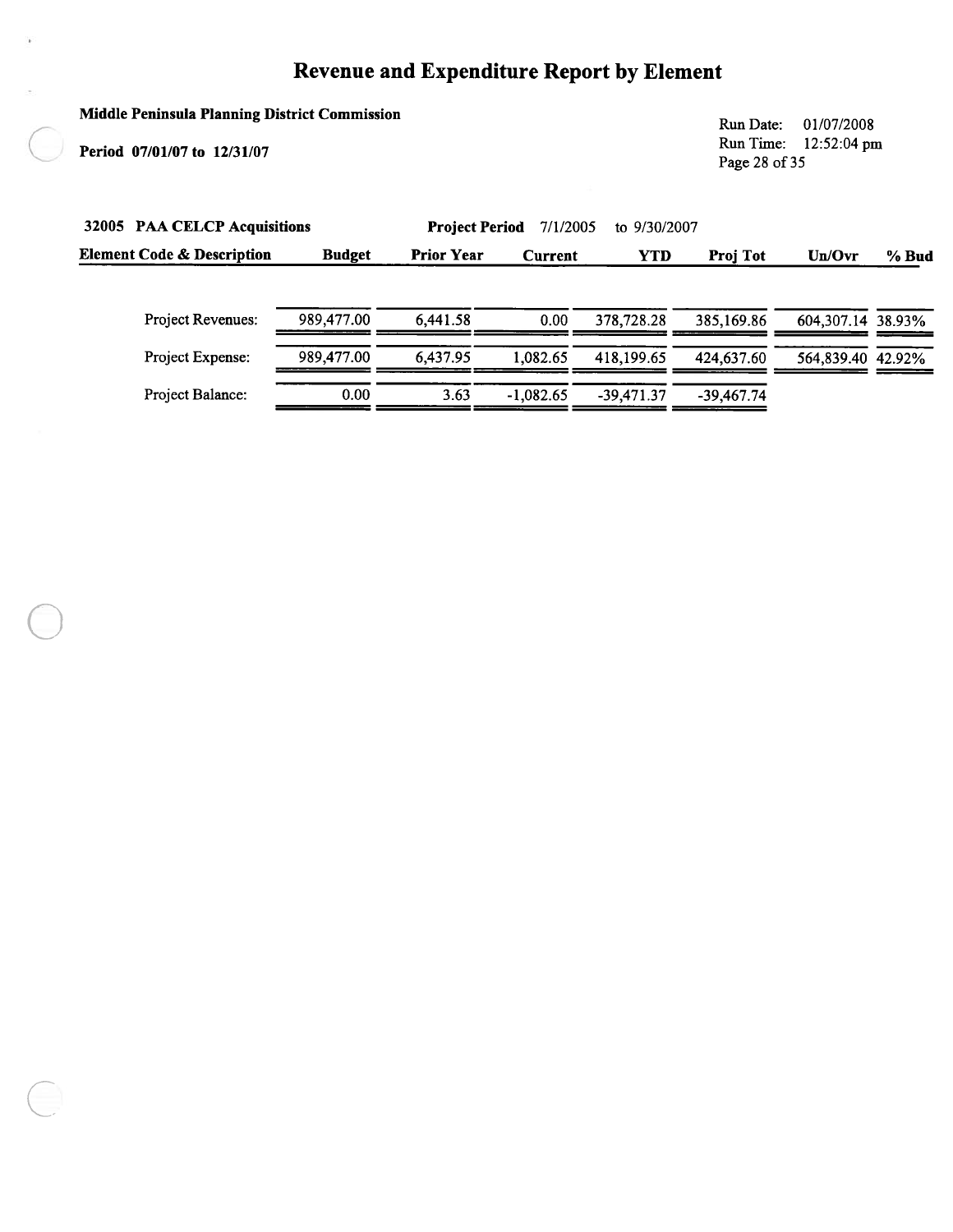## Middle Peninsula Planning District Commission

Period 07/01/07 to 12/31/07

Run Date: 01/07/2008 Run Time: 12:52:04 pm Page 28 of 35

| 32005 PAA CELCP Acquisitions          | <b>Project Period</b> | 7/1/2005          | to 9/30/2007   |              |                 |                   |       |
|---------------------------------------|-----------------------|-------------------|----------------|--------------|-----------------|-------------------|-------|
| <b>Element Code &amp; Description</b> | <b>Budget</b>         | <b>Prior Year</b> | <b>Current</b> | <b>YTD</b>   | <b>Proj Tot</b> | Un/Ovr            | % Bud |
| <b>Project Revenues:</b>              | 989,477.00            | 6.441.58          | 0.00           | 378,728.28   | 385,169.86      | 604,307.14 38.93% |       |
| Project Expense:                      | 989,477.00            | 6.437.95          | 1.082.65       | 418.199.65   | 424,637.60      | 564,839.40 42.92% |       |
| Project Balance:                      | 0.00                  | 3.63              | $-1,082.65$    | $-39,471.37$ | $-39.467.74$    |                   |       |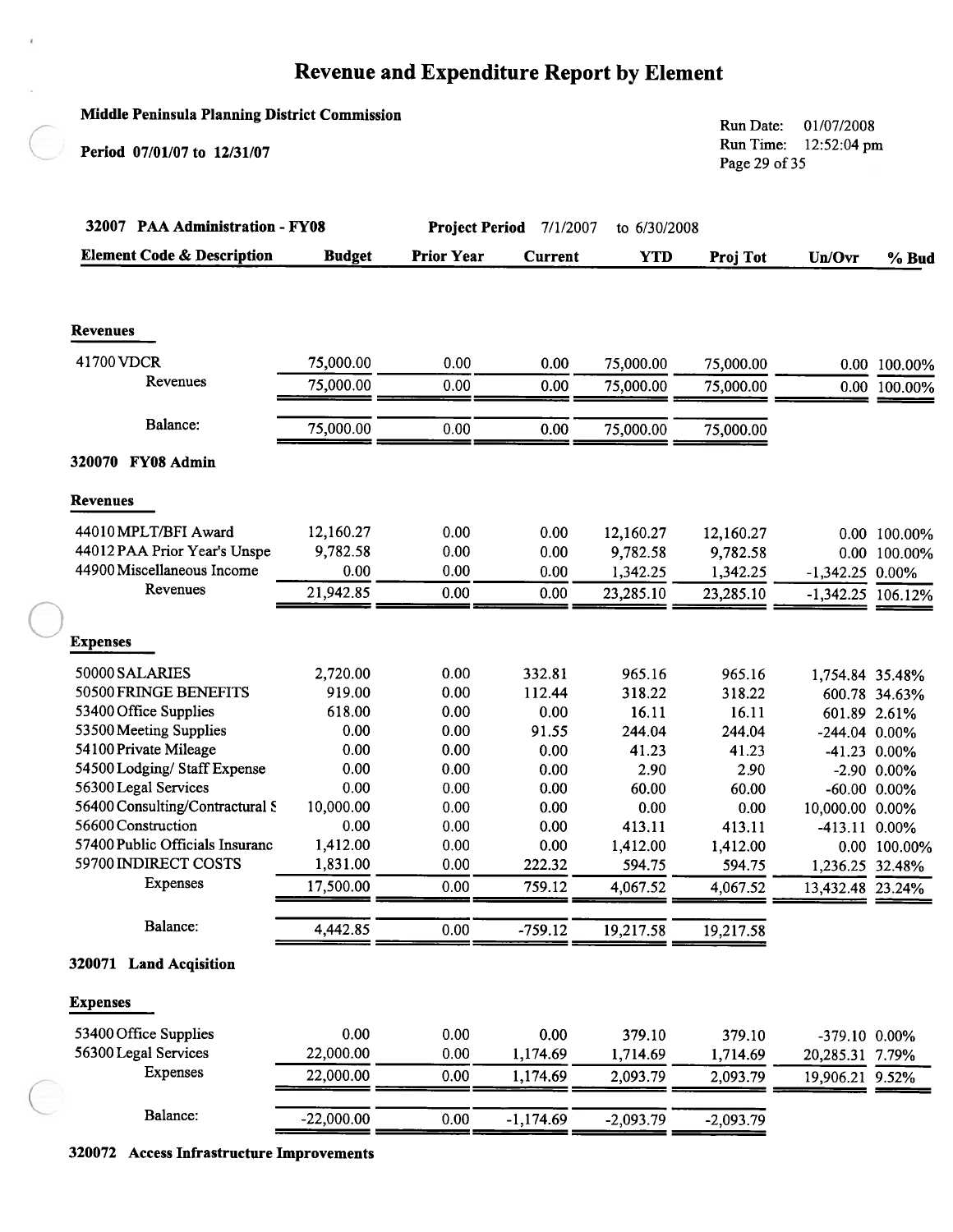| Middle Peninsula Planning District Commission<br>Period 07/01/07 to 12/31/07 |                       |                       |                  |                    | Run Date:<br>Run Time:<br>Page 29 of 35 | 01/07/2008<br>12:52:04 pm           |                   |
|------------------------------------------------------------------------------|-----------------------|-----------------------|------------------|--------------------|-----------------------------------------|-------------------------------------|-------------------|
| 32007 PAA Administration - FY08                                              |                       | <b>Project Period</b> | 7/1/2007         | to 6/30/2008       |                                         |                                     |                   |
| <b>Element Code &amp; Description</b>                                        | <b>Budget</b>         | <b>Prior Year</b>     | <b>Current</b>   | <b>YTD</b>         | Proj Tot                                | Un/Ovr                              | % Bud             |
| <b>Revenues</b>                                                              |                       |                       |                  |                    |                                         |                                     |                   |
|                                                                              |                       |                       |                  |                    |                                         |                                     |                   |
| 41700 VDCR<br>Revenues                                                       | 75,000.00             | 0.00                  | 0.00             | 75,000.00          | 75,000.00                               |                                     | 0.00 100.00%      |
|                                                                              | 75,000.00             | 0.00                  | 0.00             | 75,000.00          | 75,000.00                               |                                     | 0.00 100.00%      |
| Balance:                                                                     | 75,000.00             | 0.00                  | 0.00             | 75,000.00          | 75,000.00                               |                                     |                   |
| 320070 FY08 Admin                                                            |                       |                       |                  |                    |                                         |                                     |                   |
| <b>Revenues</b>                                                              |                       |                       |                  |                    |                                         |                                     |                   |
| 44010 MPLT/BFI Award                                                         | 12,160.27             | 0.00                  | 0.00             | 12,160.27          | 12,160.27                               |                                     | 0.00 100.00%      |
| 44012 PAA Prior Year's Unspe                                                 | 9,782.58              | 0.00                  | 0.00             | 9,782.58           | 9,782.58                                |                                     | 0.00 100.00%      |
| 44900 Miscellaneous Income                                                   | 0.00                  | 0.00                  | 0.00             | 1,342.25           | 1,342.25                                | $-1,342.25$ 0.00%                   |                   |
| Revenues                                                                     | 21,942.85             | 0.00                  | 0.00             | 23,285.10          | 23,285.10                               | $-1,342.25$ 106.12%                 |                   |
| <b>Expenses</b>                                                              |                       |                       |                  |                    |                                         |                                     |                   |
| 50000 SALARIES                                                               | 2,720.00              | 0.00                  | 332.81           | 965.16             | 965.16                                  | 1,754.84 35.48%                     |                   |
| 50500 FRINGE BENEFITS                                                        | 919.00                | 0.00                  | 112.44           | 318.22             | 318.22                                  |                                     | 600.78 34.63%     |
| 53400 Office Supplies                                                        | 618.00                | 0.00                  | 0.00             | 16.11              | 16.11                                   |                                     | 601.89 2.61%      |
| 53500 Meeting Supplies                                                       | 0.00                  | 0.00                  | 91.55            | 244.04             | 244.04                                  | $-244.04$ 0.00%                     |                   |
| 54100 Private Mileage                                                        | 0.00                  | 0.00                  | 0.00             | 41.23              | 41.23                                   |                                     | -41.23 0.00%      |
| 54500 Lodging/ Staff Expense                                                 | 0.00                  | 0.00                  | 0.00             | 2.90               | 2.90                                    |                                     | $-2.90$ $0.00\%$  |
| 56300 Legal Services                                                         | 0.00                  | 0.00                  | 0.00             | 60.00              | 60.00                                   |                                     | $-60.00$ $0.00\%$ |
| 56400 Consulting/Contractural S                                              | 10,000.00             | 0.00                  | 0.00             | 0.00               | 0.00                                    | 10,000.00 0.00%                     |                   |
| 56600 Construction                                                           | 0.00                  | 0.00                  | 0.00             | 413.11             | 413.11                                  | -413.11 0.00%                       |                   |
| 57400 Public Officials Insuranc                                              | 1,412.00              | 0.00                  | 0.00             | 1,412.00           | 1,412.00                                |                                     | 0.00 100.00%      |
| 59700 INDIRECT COSTS<br><b>Expenses</b>                                      | 1,831.00<br>17,500.00 | 0.00<br>0.00          | 222.32<br>759.12 | 594.75<br>4,067.52 | 594.75<br>4,067.52                      | 1,236.25 32.48%<br>13,432.48 23.24% |                   |
|                                                                              |                       |                       |                  |                    |                                         |                                     |                   |
| Balance:                                                                     | 4,442.85              | 0.00                  | $-759.12$        | 19,217.58          | 19,217.58                               |                                     |                   |
| 320071 Land Acqisition                                                       |                       |                       |                  |                    |                                         |                                     |                   |
| <b>Expenses</b>                                                              |                       |                       |                  |                    |                                         |                                     |                   |
| 53400 Office Supplies                                                        | 0.00                  | 0.00                  | 0.00             | 379.10             | 379.10                                  | -379.10 0.00%                       |                   |
| 56300 Legal Services                                                         | 22,000.00             | 0.00                  | 1,174.69         | 1,714.69           | 1,714.69                                | 20,285.31 7.79%                     |                   |
| <b>Expenses</b>                                                              | 22,000.00             | 0.00                  | 1,174.69         | 2,093.79           | 2,093.79                                | 19,906.21 9.52%                     |                   |
| Balance:                                                                     | $-22,000.00$          | 0.00                  | $-1,174.69$      | $-2,093.79$        | $-2,093.79$                             |                                     |                   |
|                                                                              |                       |                       |                  |                    |                                         |                                     |                   |

320072 Access Infrastructure Improvements

 $\hat{U}$ 

 $\frac{1}{\sqrt{2}}$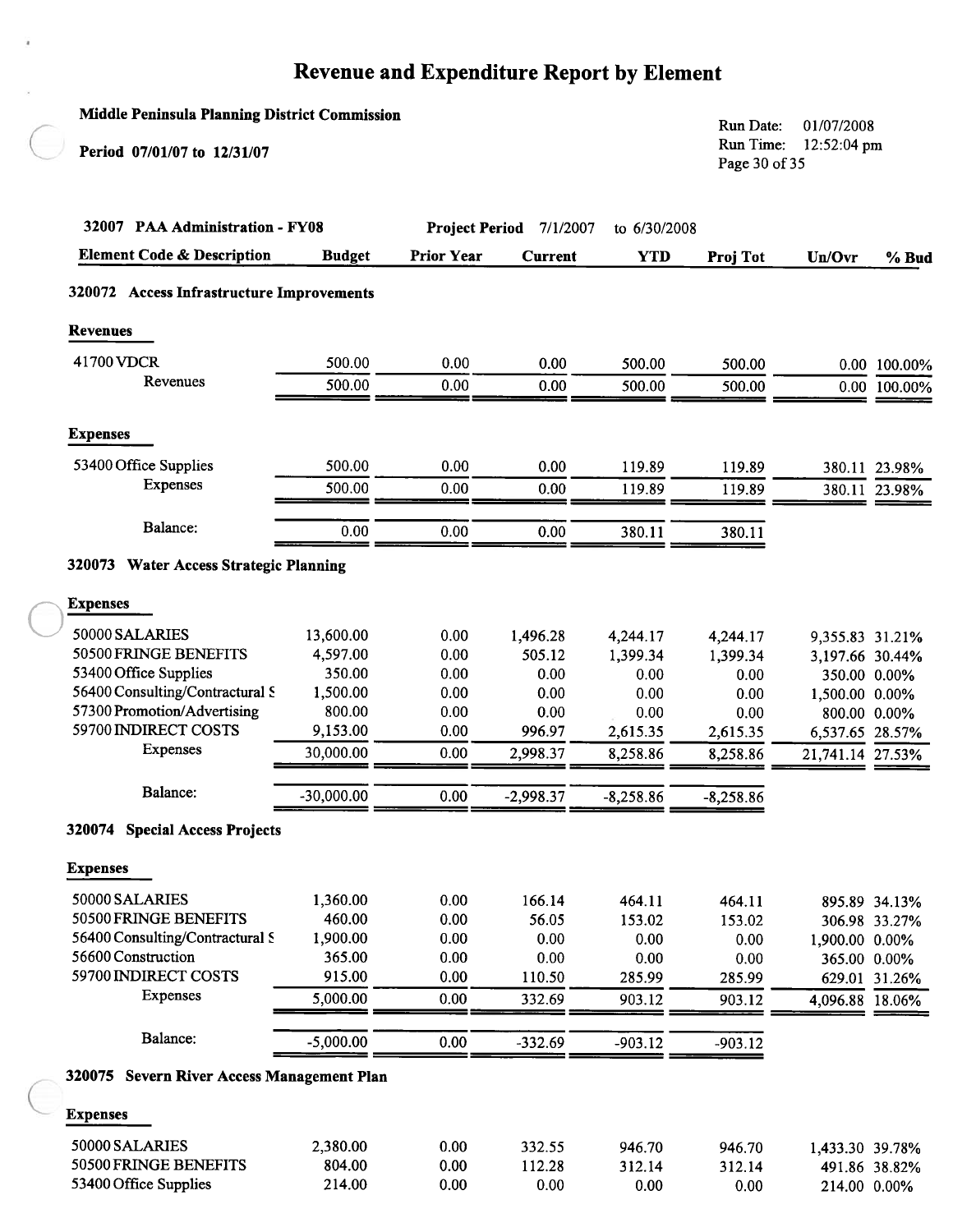$\bar{\imath}$ 

 $\bar{\rm s}$ 

 $\subset$ 

| <b>Middle Peninsula Planning District Commission</b><br>Period 07/01/07 to 12/31/07 |               |                       |                |              | Run Date:<br>01/07/2008<br>Run Time:<br>12:52:04 pm<br>Page 30 of 35 |                  |               |  |
|-------------------------------------------------------------------------------------|---------------|-----------------------|----------------|--------------|----------------------------------------------------------------------|------------------|---------------|--|
| 32007 PAA Administration - FY08                                                     |               | <b>Project Period</b> | 7/1/2007       | to 6/30/2008 |                                                                      |                  |               |  |
| <b>Element Code &amp; Description</b>                                               | <b>Budget</b> | <b>Prior Year</b>     | <b>Current</b> | <b>YTD</b>   | Proj Tot                                                             | Un/Ovr           | % Bud         |  |
| 320072 Access Infrastructure Improvements                                           |               |                       |                |              |                                                                      |                  |               |  |
| <b>Revenues</b>                                                                     |               |                       |                |              |                                                                      |                  |               |  |
| 41700 VDCR                                                                          | 500.00        | 0.00                  | 0.00           | 500.00       | 500.00                                                               |                  | 0.00 100.00%  |  |
| Revenues                                                                            | 500.00        | 0.00                  | 0.00           | 500.00       | 500.00                                                               |                  | 0.00 100.00%  |  |
|                                                                                     |               |                       |                |              |                                                                      |                  |               |  |
| <b>Expenses</b>                                                                     |               |                       |                |              |                                                                      |                  |               |  |
| 53400 Office Supplies                                                               | 500.00        | 0.00                  | 0.00           | 119.89       | 119.89                                                               |                  | 380.11 23.98% |  |
| <b>Expenses</b>                                                                     | 500.00        | 0.00                  | 0.00           | 119.89       | 119.89                                                               |                  | 380.11 23.98% |  |
| Balance:                                                                            |               |                       |                |              |                                                                      |                  |               |  |
|                                                                                     | 0.00          | 0.00                  | 0.00           | 380.11       | 380.11                                                               |                  |               |  |
| 320073 Water Access Strategic Planning                                              |               |                       |                |              |                                                                      |                  |               |  |
| <b>Expenses</b>                                                                     |               |                       |                |              |                                                                      |                  |               |  |
| 50000 SALARIES                                                                      | 13,600.00     | 0.00                  | 1,496.28       | 4,244.17     | 4,244.17                                                             | 9,355.83 31.21%  |               |  |
| 50500 FRINGE BENEFITS                                                               | 4,597.00      | 0.00                  | 505.12         | 1,399.34     | 1,399.34                                                             | 3,197.66 30.44%  |               |  |
| 53400 Office Supplies                                                               | 350.00        | 0.00                  | 0.00           | 0.00         | 0.00                                                                 | 350.00 0.00%     |               |  |
| 56400 Consulting/Contractural S                                                     | 1,500.00      | 0.00                  | 0.00           | 0.00         | 0.00                                                                 | 1,500.00 0.00%   |               |  |
| 57300 Promotion/Advertising                                                         | 800.00        | 0.00                  | 0.00           | 0.00         | 0.00                                                                 | 800.00 0.00%     |               |  |
| 59700 INDIRECT COSTS                                                                | 9,153.00      | 0.00                  | 996.97         | 2,615.35     | 2,615.35                                                             | 6,537.65 28.57%  |               |  |
| <b>Expenses</b>                                                                     | 30,000.00     | 0.00                  | 2,998.37       | 8,258.86     | 8,258.86                                                             | 21,741.14 27.53% |               |  |
| Balance:                                                                            | $-30,000.00$  | 0.00                  | $-2,998.37$    | $-8,258.86$  | $-8,258.86$                                                          |                  |               |  |
| 320074 Special Access Projects<br><b>Expenses</b>                                   |               |                       |                |              |                                                                      |                  |               |  |
| 50000 SALARIES                                                                      | 1,360.00      | 0.00                  | 166.14         | 464.11       | 464.11                                                               |                  | 895.89 34.13% |  |
| 50500 FRINGE BENEFITS                                                               | 460.00        | 0.00                  | 56.05          | 153.02       | 153.02                                                               |                  | 306.98 33.27% |  |
| 56400 Consulting/Contractural S                                                     | 1,900.00      | 0.00                  | 0.00           | 0.00         | 0.00                                                                 | 1,900.00 0.00%   |               |  |
| 56600 Construction                                                                  | 365.00        | 0.00                  | 0.00           | 0.00         | 0.00                                                                 | 365.00 0.00%     |               |  |
| 59700 INDIRECT COSTS                                                                | 915.00        | 0.00                  | 110.50         | 285.99       | 285.99                                                               |                  | 629.01 31.26% |  |
| Expenses                                                                            | 5,000.00      | 0.00                  | 332.69         | 903.12       | 903.12                                                               | 4,096.88 18.06%  |               |  |
| Balance:                                                                            | $-5,000.00$   | 0.00                  | $-332.69$      | $-903.12$    | $-903.12$                                                            |                  |               |  |
| 320075 Severn River Access Management Plan                                          |               |                       |                |              |                                                                      |                  |               |  |
| <b>Expenses</b>                                                                     |               |                       |                |              |                                                                      |                  |               |  |
| 50000 SALARIES                                                                      | 2,380.00      | 0.00                  | 332.55         | 946.70       | 946.70                                                               | 1,433.30 39.78%  |               |  |
| 50500 FRINGE BENEFITS                                                               | 804.00        | 0.00                  | 112.28         | 312.14       | 312.14                                                               |                  | 491.86 38.82% |  |
| 53400 Office Supplies                                                               | 214.00        | 0.00                  | 0.00           | 0.00         | 0.00                                                                 |                  | 214.00 0.00%  |  |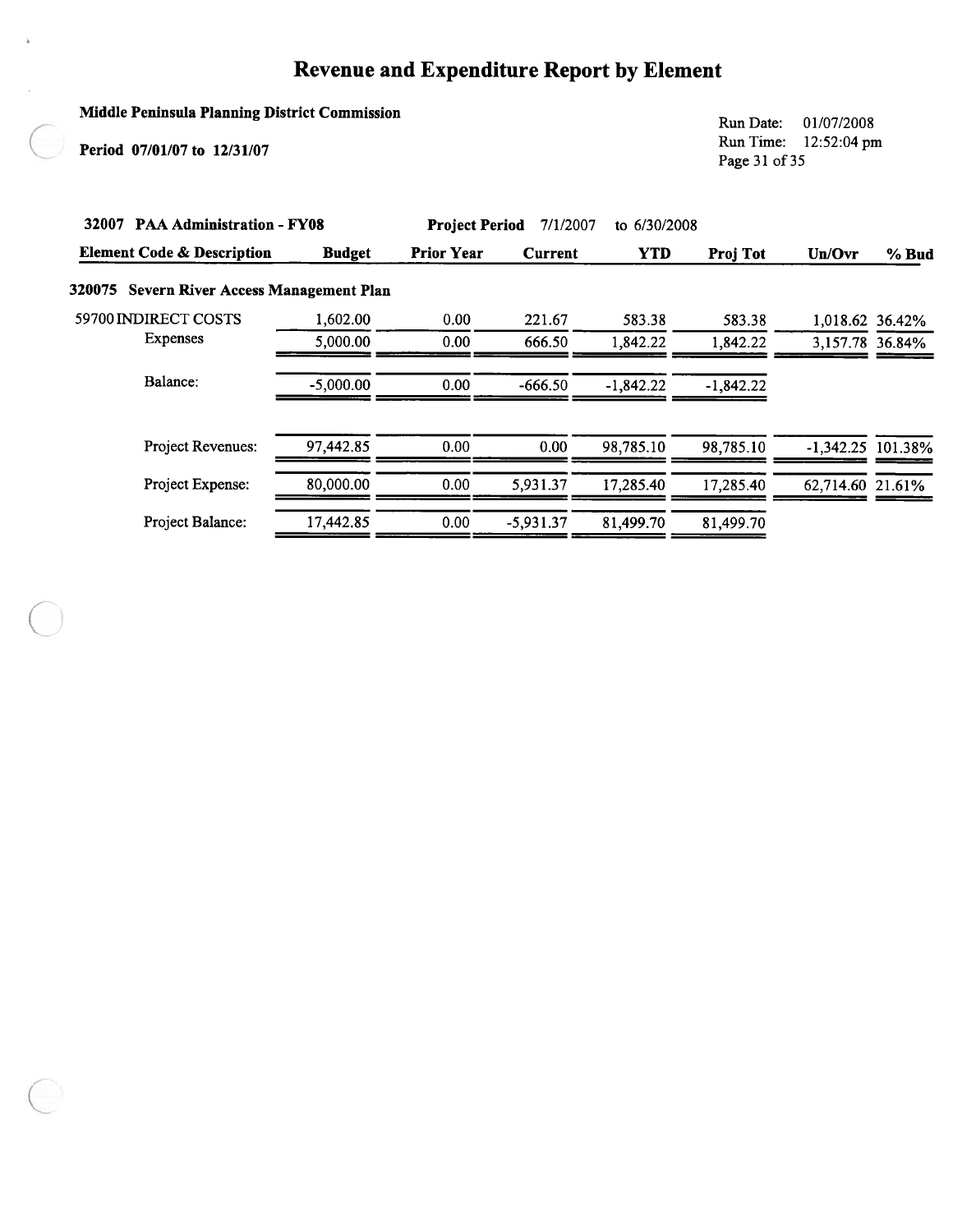$\hat{\textbf{a}}$ 

 $\bigcap$ 

Balance:

 $-5,000.00$ 

| <b>Middle Peninsula Planning District Commission</b><br>Period 07/01/07 to 12/31/07 |               |                       |                |              | Run Date:<br>Run Time:<br>Page 31 of 35 | 01/07/2008<br>$12:52:04 \text{ pm}$ |       |
|-------------------------------------------------------------------------------------|---------------|-----------------------|----------------|--------------|-----------------------------------------|-------------------------------------|-------|
| 32007 PAA Administration - FY08                                                     |               | <b>Project Period</b> | 7/1/2007       | to 6/30/2008 |                                         |                                     |       |
| <b>Element Code &amp; Description</b>                                               | <b>Budget</b> | <b>Prior Year</b>     | <b>Current</b> | <b>YTD</b>   | <b>Proj Tot</b>                         | Un/Ovr                              | % Bud |
| 320075 Severn River Access Management Plan                                          |               |                       |                |              |                                         |                                     |       |
| 59700 INDIRECT COSTS                                                                | 1.602.00      | 0.00                  | 221.67         | 583.38       | 583.38                                  | 1,018.62 36.42%                     |       |
| Expenses                                                                            | 5,000.00      | 0.00                  | 666.50         | 1,842.22     | 1,842.22                                | 3,157.78 36.84%                     |       |

 $0.00$ 

| <b>Project Revenues:</b> | 97,442.85 | 0.00 | 0.00        | 98,785.10 | 98,785.10 |                  | $-1,342.25$ 101.38% |
|--------------------------|-----------|------|-------------|-----------|-----------|------------------|---------------------|
| Project Expense:         | 80,000.00 | 0.00 | 5.931.37    | 17,285.40 | 17,285.40 | 62,714.60 21.61% |                     |
| Project Balance:         | 17,442.85 | 0.00 | $-5.931.37$ | 81.499.70 | 81,499.70 |                  |                     |

 $-666.50$ 

 $-1,842.22$ 

 $-1,842.22$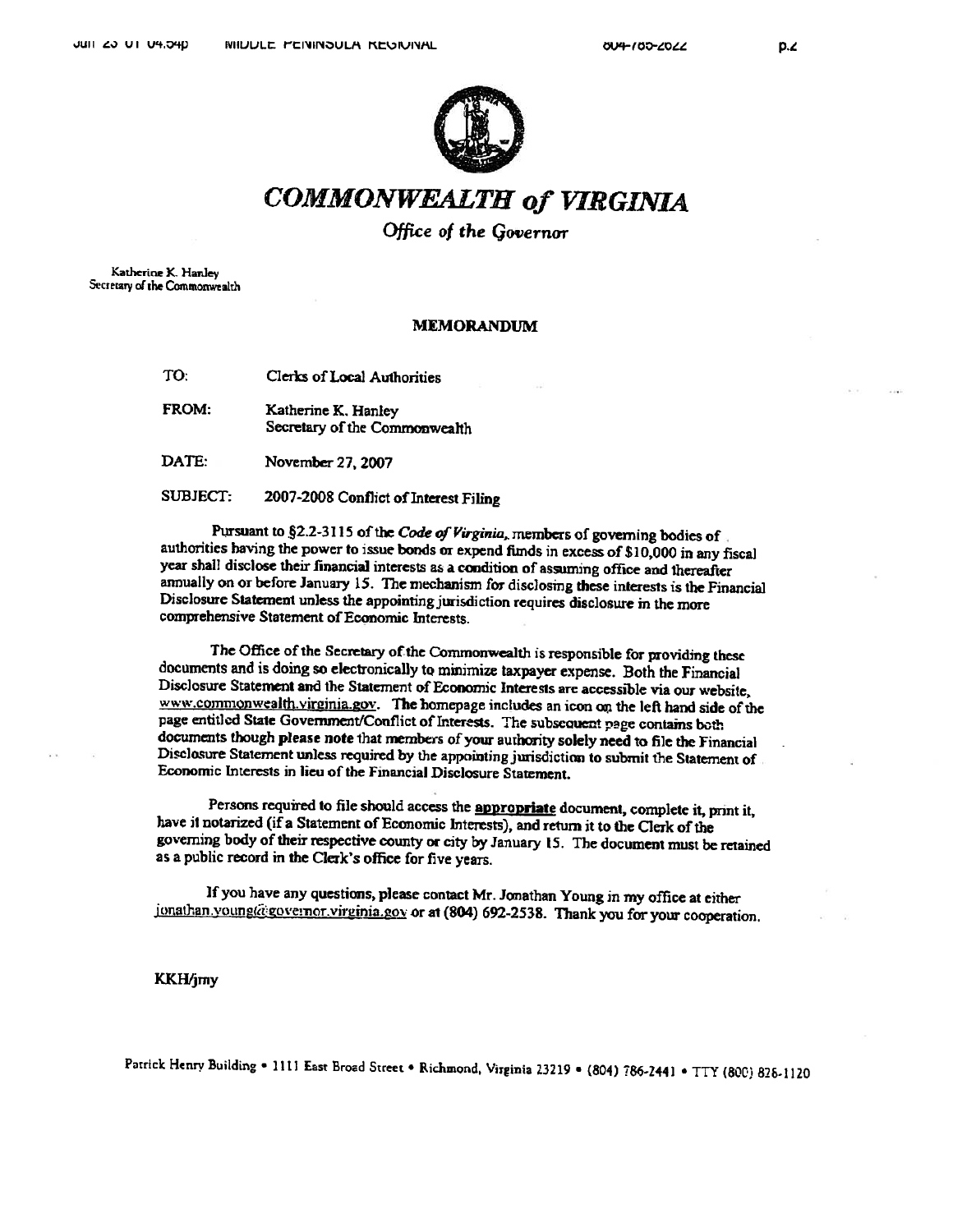

# **COMMONWEALTH of VIRGINIA**

Office of the Governor

Katherine K. Hanley Secretary of the Commonwealth

#### **MEMORANDUM**

| TO:   | Clerks of Local Authorities                          |
|-------|------------------------------------------------------|
| FROM: | Katherine K. Hanley<br>Secretary of the Commonwealth |

DATE: November 27, 2007

SUBJECT: 2007-2008 Conflict of Interest Filing

Pursuant to §2.2-3115 of the Code of Virginia, members of governing bodies of authorities having the power to issue bonds or expend funds in excess of \$10,000 in any fiscal year shall disclose their financial interests as a condition of assuming office and thereafter annually on or before January 15. The mechanism for disclosing these interests is the Financial Disclosure Statement unless the appointing jurisdiction requires disclosure in the more comprehensive Statement of Economic Interests.

The Office of the Secretary of the Commonwealth is responsible for providing these documents and is doing so electronically to minimize taxpayer expense. Both the Financial Disclosure Statement and the Statement of Economic Interests are accessible via our website, www.commonwealth.virginia.gov. The homepage includes an icon on the left hand side of the page entitled State Government/Conflict of Interests. The subsequent page contains both documents though please note that members of your authority solely need to file the Financial Disclosure Statement unless required by the appointing jurisdiction to submit the Statement of Economic Interests in lieu of the Financial Disclosure Statement.

Persons required to file should access the appropriate document, complete it, print it, have it notarized (if a Statement of Economic Interests), and return it to the Clerk of the governing body of their respective county or city by January 15. The document must be retained as a public record in the Clerk's office for five years.

If you have any questions, please contact Mr. Jonathan Young in my office at either jonathan.vounglatgovernor.virginia.gov or at (804) 692-2538. Thank you for your cooperation.

#### **KKH/jmy**

Patrick Henry Building . 1111 East Broad Street . Richmond, Virginia 23219 . (804) 786-2441 . TTY (800) 826-1120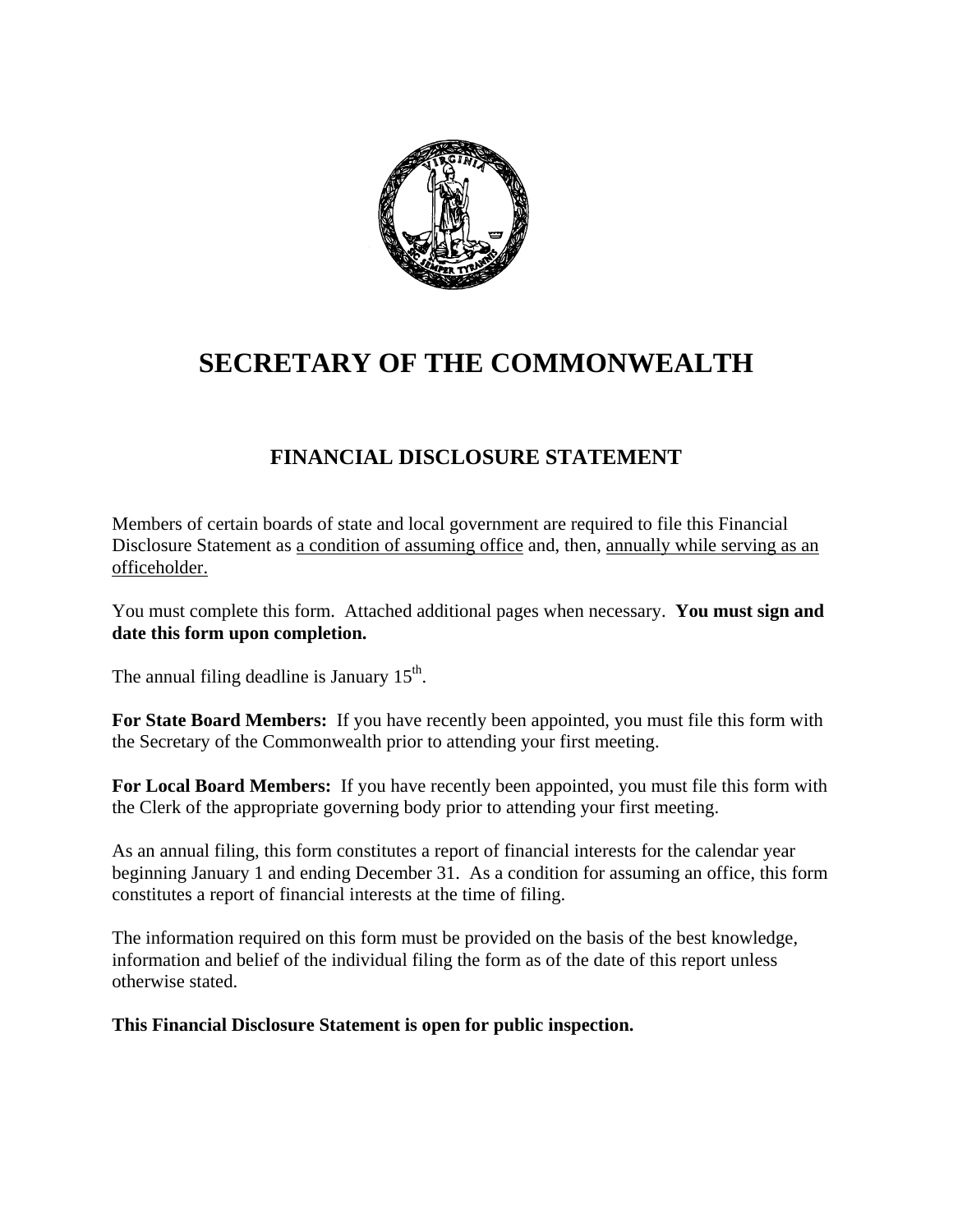

# **SECRETARY OF THE COMMONWEALTH**

# **FINANCIAL DISCLOSURE STATEMENT**

Members of certain boards of state and local government are required to file this Financial Disclosure Statement as a condition of assuming office and, then, annually while serving as an officeholder.

You must complete this form. Attached additional pages when necessary. **You must sign and date this form upon completion.** 

The annual filing deadline is January  $15<sup>th</sup>$ .

**For State Board Members:** If you have recently been appointed, you must file this form with the Secretary of the Commonwealth prior to attending your first meeting.

**For Local Board Members:** If you have recently been appointed, you must file this form with the Clerk of the appropriate governing body prior to attending your first meeting.

As an annual filing, this form constitutes a report of financial interests for the calendar year beginning January 1 and ending December 31. As a condition for assuming an office, this form constitutes a report of financial interests at the time of filing.

The information required on this form must be provided on the basis of the best knowledge, information and belief of the individual filing the form as of the date of this report unless otherwise stated.

**This Financial Disclosure Statement is open for public inspection.**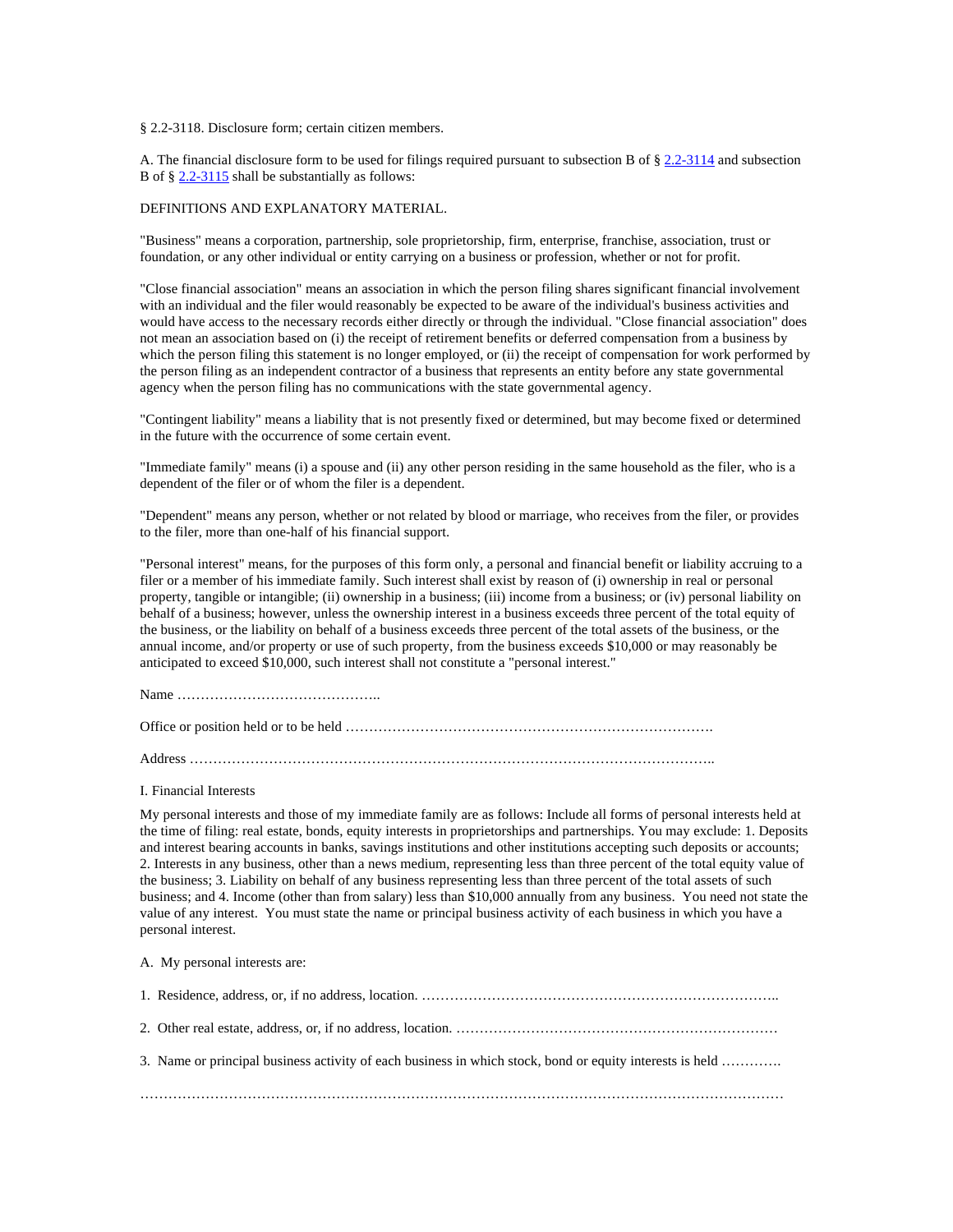#### § 2.2-3118. Disclosure form; certain citizen members.

A. The financial disclosure form to be used for filings required pursuant to subsection B of § 2.2-3114 and subsection B of § 2.2-3115 shall be substantially as follows:

#### DEFINITIONS AND EXPLANATORY MATERIAL.

"Business" means a corporation, partnership, sole proprietorship, firm, enterprise, franchise, association, trust or foundation, or any other individual or entity carrying on a business or profession, whether or not for profit.

"Close financial association" means an association in which the person filing shares significant financial involvement with an individual and the filer would reasonably be expected to be aware of the individual's business activities and would have access to the necessary records either directly or through the individual. "Close financial association" does not mean an association based on (i) the receipt of retirement benefits or deferred compensation from a business by which the person filing this statement is no longer employed, or (ii) the receipt of compensation for work performed by the person filing as an independent contractor of a business that represents an entity before any state governmental agency when the person filing has no communications with the state governmental agency.

"Contingent liability" means a liability that is not presently fixed or determined, but may become fixed or determined in the future with the occurrence of some certain event.

"Immediate family" means (i) a spouse and (ii) any other person residing in the same household as the filer, who is a dependent of the filer or of whom the filer is a dependent.

"Dependent" means any person, whether or not related by blood or marriage, who receives from the filer, or provides to the filer, more than one-half of his financial support.

"Personal interest" means, for the purposes of this form only, a personal and financial benefit or liability accruing to a filer or a member of his immediate family. Such interest shall exist by reason of (i) ownership in real or personal property, tangible or intangible; (ii) ownership in a business; (iii) income from a business; or (iv) personal liability on behalf of a business; however, unless the ownership interest in a business exceeds three percent of the total equity of the business, or the liability on behalf of a business exceeds three percent of the total assets of the business, or the annual income, and/or property or use of such property, from the business exceeds \$10,000 or may reasonably be anticipated to exceed \$10,000, such interest shall not constitute a "personal interest."

Name ……………………………………..

Office or position held or to be held …………………………………………………………………….

Address …………………………………………………………………………………………………..

#### I. Financial Interests

My personal interests and those of my immediate family are as follows: Include all forms of personal interests held at the time of filing: real estate, bonds, equity interests in proprietorships and partnerships. You may exclude: 1. Deposits and interest bearing accounts in banks, savings institutions and other institutions accepting such deposits or accounts; 2. Interests in any business, other than a news medium, representing less than three percent of the total equity value of the business; 3. Liability on behalf of any business representing less than three percent of the total assets of such business; and 4. Income (other than from salary) less than \$10,000 annually from any business. You need not state the value of any interest. You must state the name or principal business activity of each business in which you have a personal interest.

A. My personal interests are: 1. Residence, address, or, if no address, location. ………………………………………………………………….. 2. Other real estate, address, or, if no address, location. …………………………………………………………… 3. Name or principal business activity of each business in which stock, bond or equity interests is held …………. …………………………………………………………………………………………………………………………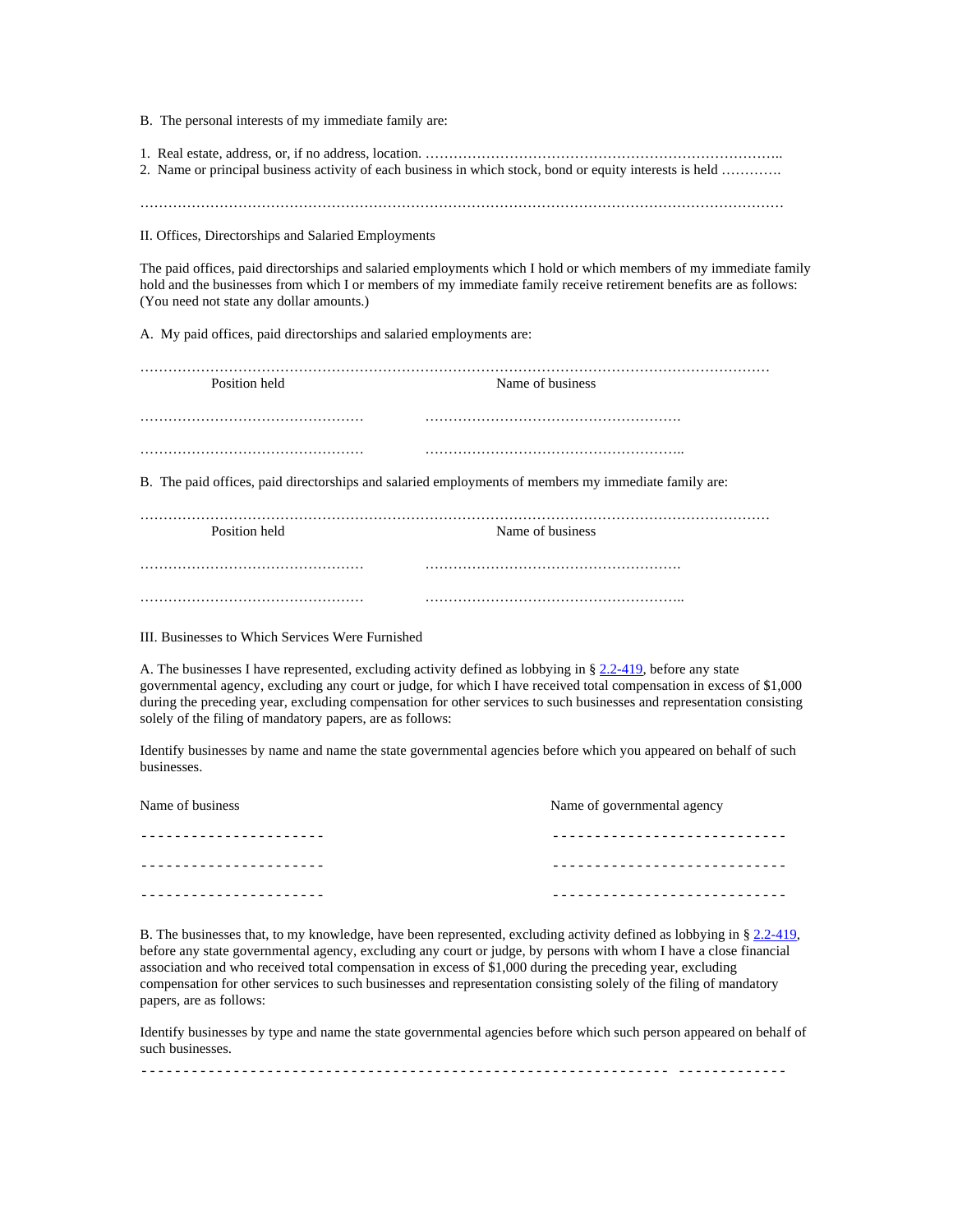B. The personal interests of my immediate family are:

1. Real estate, address, or, if no address, location. ………………………………………………………………….. 2. Name or principal business activity of each business in which stock, bond or equity interests is held ………….

…………………………………………………………………………………………………………………………

II. Offices, Directorships and Salaried Employments

The paid offices, paid directorships and salaried employments which I hold or which members of my immediate family hold and the businesses from which I or members of my immediate family receive retirement benefits are as follows: (You need not state any dollar amounts.)

A. My paid offices, paid directorships and salaried employments are:

| Position held | Name of business                                                                                     |
|---------------|------------------------------------------------------------------------------------------------------|
|               |                                                                                                      |
|               |                                                                                                      |
|               |                                                                                                      |
|               | B. The paid offices, paid directorships and salaried employments of members my immediate family are: |
| Position held | Name of business                                                                                     |
|               |                                                                                                      |

#### III. Businesses to Which Services Were Furnished

A. The businesses I have represented, excluding activity defined as lobbying in  $\S 2.2-419$ , before any state governmental agency, excluding any court or judge, for which I have received total compensation in excess of \$1,000 during the preceding year, excluding compensation for other services to such businesses and representation consisting solely of the filing of mandatory papers, are as follows:

Identify businesses by name and name the state governmental agencies before which you appeared on behalf of such businesses.

| Name of business | Name of governmental agency |
|------------------|-----------------------------|
|                  |                             |
|                  |                             |
|                  |                             |

B. The businesses that, to my knowledge, have been represented, excluding activity defined as lobbying in § 2.2-419, before any state governmental agency, excluding any court or judge, by persons with whom I have a close financial association and who received total compensation in excess of \$1,000 during the preceding year, excluding compensation for other services to such businesses and representation consisting solely of the filing of mandatory papers, are as follows:

Identify businesses by type and name the state governmental agencies before which such person appeared on behalf of such businesses.

--------------------------------------------------------------- -------------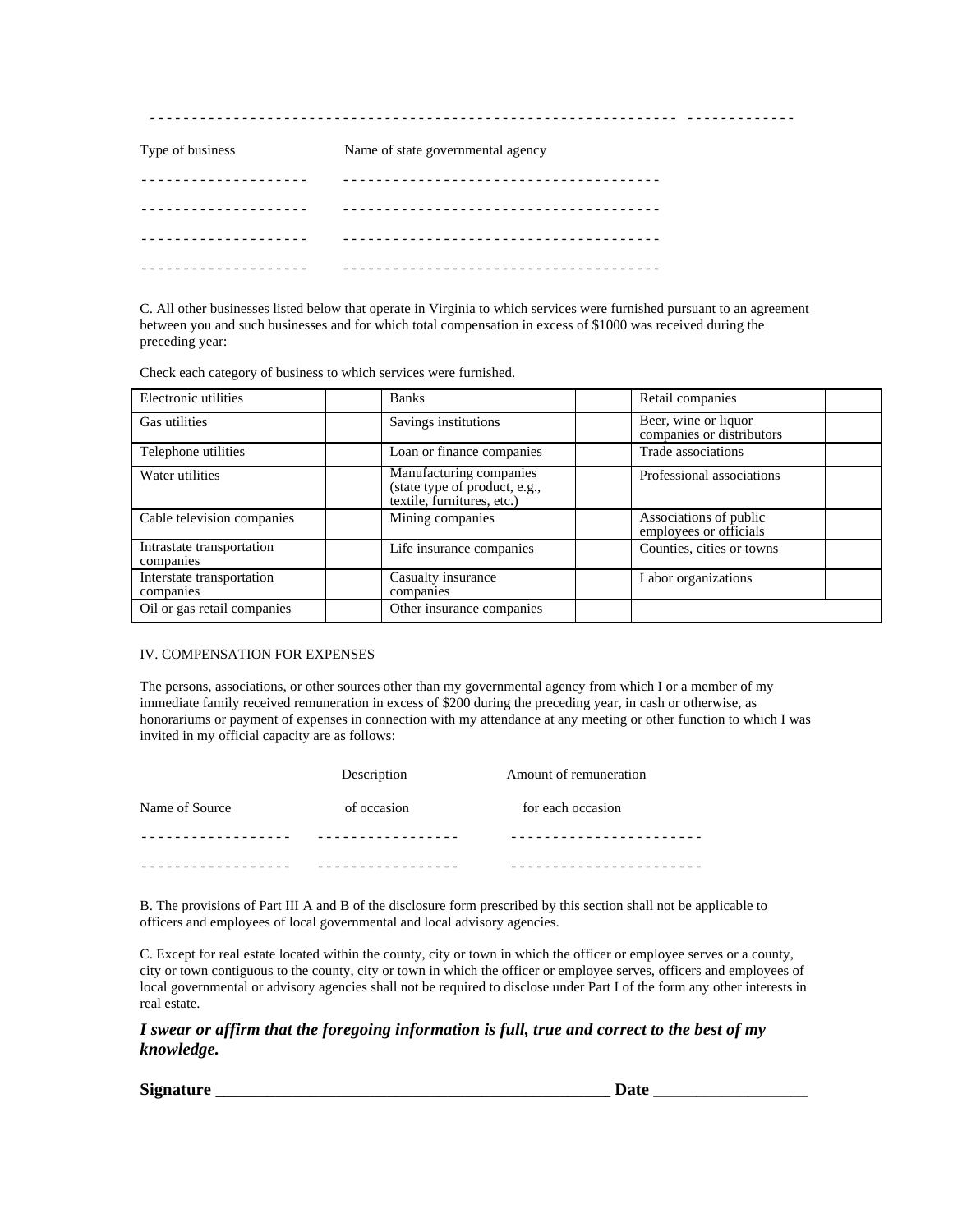| Type of business | Name of state governmental agency |
|------------------|-----------------------------------|
|                  |                                   |
|                  |                                   |
|                  |                                   |
|                  |                                   |

C. All other businesses listed below that operate in Virginia to which services were furnished pursuant to an agreement between you and such businesses and for which total compensation in excess of \$1000 was received during the preceding year:

Check each category of business to which services were furnished.

| Electronic utilities                   | <b>Banks</b>                                                                           | Retail companies                                  |
|----------------------------------------|----------------------------------------------------------------------------------------|---------------------------------------------------|
| Gas utilities                          | Savings institutions                                                                   | Beer, wine or liquor<br>companies or distributors |
| Telephone utilities                    | Loan or finance companies                                                              | Trade associations                                |
| Water utilities                        | Manufacturing companies<br>(state type of product, e.g.,<br>textile, furnitures, etc.) | Professional associations                         |
| Cable television companies             | Mining companies                                                                       | Associations of public<br>employees or officials  |
| Intrastate transportation<br>companies | Life insurance companies                                                               | Counties, cities or towns                         |
| Interstate transportation<br>companies | Casualty insurance<br>companies                                                        | Labor organizations                               |
| Oil or gas retail companies            | Other insurance companies                                                              |                                                   |

#### IV. COMPENSATION FOR EXPENSES

The persons, associations, or other sources other than my governmental agency from which I or a member of my immediate family received remuneration in excess of \$200 during the preceding year, in cash or otherwise, as honorariums or payment of expenses in connection with my attendance at any meeting or other function to which I was invited in my official capacity are as follows:

|                | Description | Amount of remuneration |
|----------------|-------------|------------------------|
| Name of Source | of occasion | for each occasion      |
|                |             |                        |
|                |             |                        |

B. The provisions of Part III A and B of the disclosure form prescribed by this section shall not be applicable to officers and employees of local governmental and local advisory agencies.

C. Except for real estate located within the county, city or town in which the officer or employee serves or a county, city or town contiguous to the county, city or town in which the officer or employee serves, officers and employees of local governmental or advisory agencies shall not be required to disclose under Part I of the form any other interests in real estate.

*I swear or affirm that the foregoing information is full, true and correct to the best of my knowledge.* 

**Signature**  with the set of the set of the set of the set of the set of the set of the set of the set of the set of the set of the set of the set of the set of the set of the set of the set of the set of the set of the se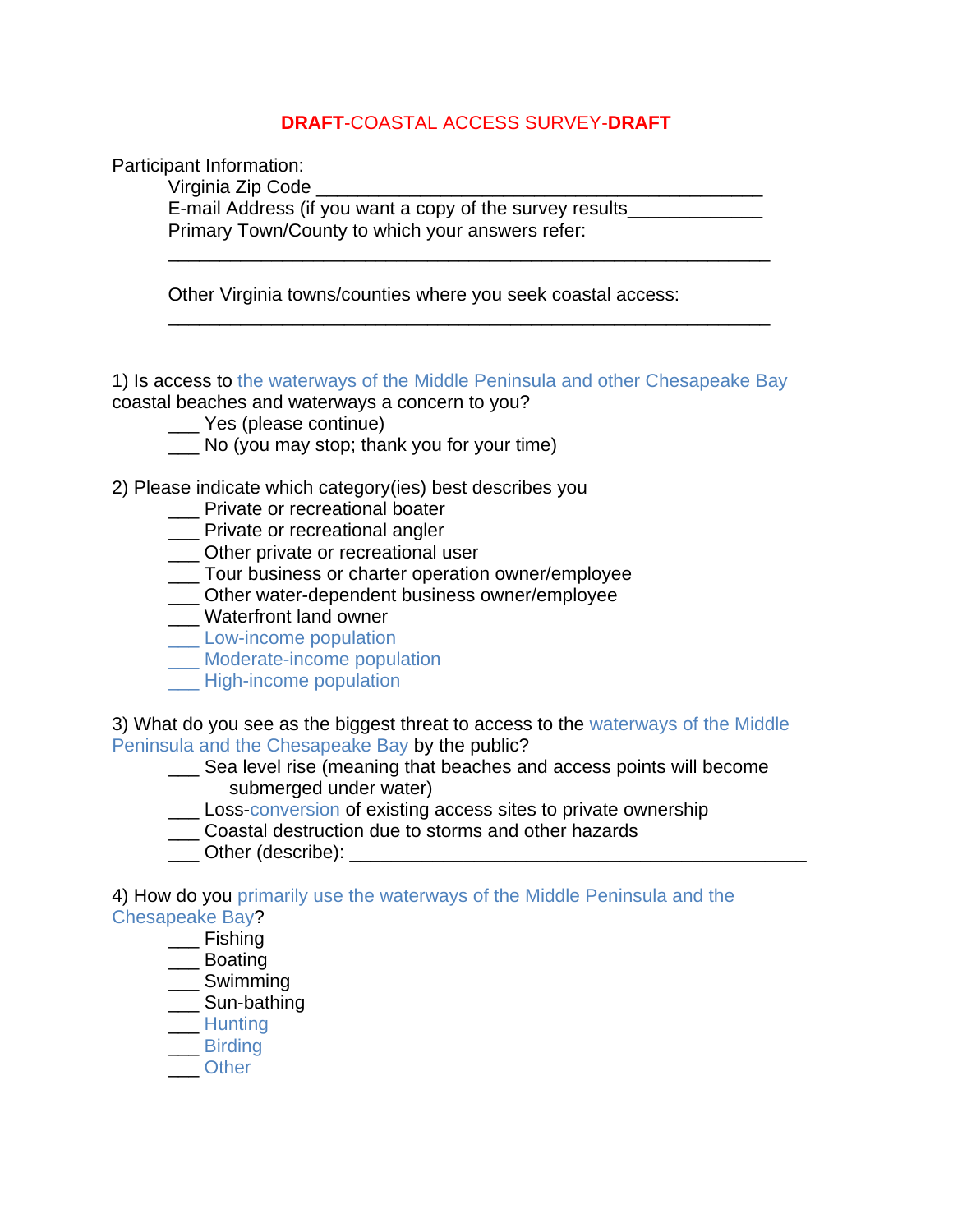# **DRAFT**-COASTAL ACCESS SURVEY-**DRAFT**

Participant Information:

Virginia Zip Code E-mail Address (if you want a copy of the survey results\_\_\_\_\_\_\_\_\_\_\_\_\_

 Primary Town/County to which your answers refer: \_\_\_\_\_\_\_\_\_\_\_\_\_\_\_\_\_\_\_\_\_\_\_\_\_\_\_\_\_\_\_\_\_\_\_\_\_\_\_\_\_\_\_\_\_\_\_\_\_\_\_\_\_\_\_\_\_\_

Other Virginia towns/counties where you seek coastal access:

\_\_\_\_\_\_\_\_\_\_\_\_\_\_\_\_\_\_\_\_\_\_\_\_\_\_\_\_\_\_\_\_\_\_\_\_\_\_\_\_\_\_\_\_\_\_\_\_\_\_\_\_\_\_\_\_\_\_

1) Is access to the waterways of the Middle Peninsula and other Chesapeake Bay coastal beaches and waterways a concern to you?

- \_\_\_ Yes (please continue)
- No (you may stop; thank you for your time)

2) Please indicate which category(ies) best describes you

- **\_\_\_** Private or recreational boater
- **EXEC** Private or recreational angler
- \_\_\_ Other private or recreational user
- \_\_\_ Tour business or charter operation owner/employee
- \_\_\_ Other water-dependent business owner/employee
- \_\_\_ Waterfront land owner
- \_\_\_ Low-income population
- \_\_\_ Moderate-income population
- \_\_\_ High-income population

3) What do you see as the biggest threat to access to the waterways of the Middle Peninsula and the Chesapeake Bay by the public?

- \_\_\_ Sea level rise (meaning that beaches and access points will become submerged under water)
- **LACCO** Loss-conversion of existing access sites to private ownership
- \_\_\_ Coastal destruction due to storms and other hazards
- \_\_\_ Other (describe): \_\_\_\_\_\_\_\_\_\_\_\_\_\_\_\_\_\_\_\_\_\_\_\_\_\_\_\_\_\_\_\_\_\_\_\_\_\_\_\_\_\_\_\_

4) How do you primarily use the waterways of the Middle Peninsula and the

Chesapeake Bay?

- \_\_\_ Fishing
- \_\_\_ Boating \_\_\_ Swimming
- \_\_\_ Sun-bathing
- \_\_\_ Hunting
- \_\_\_ Birding
- \_\_\_ Other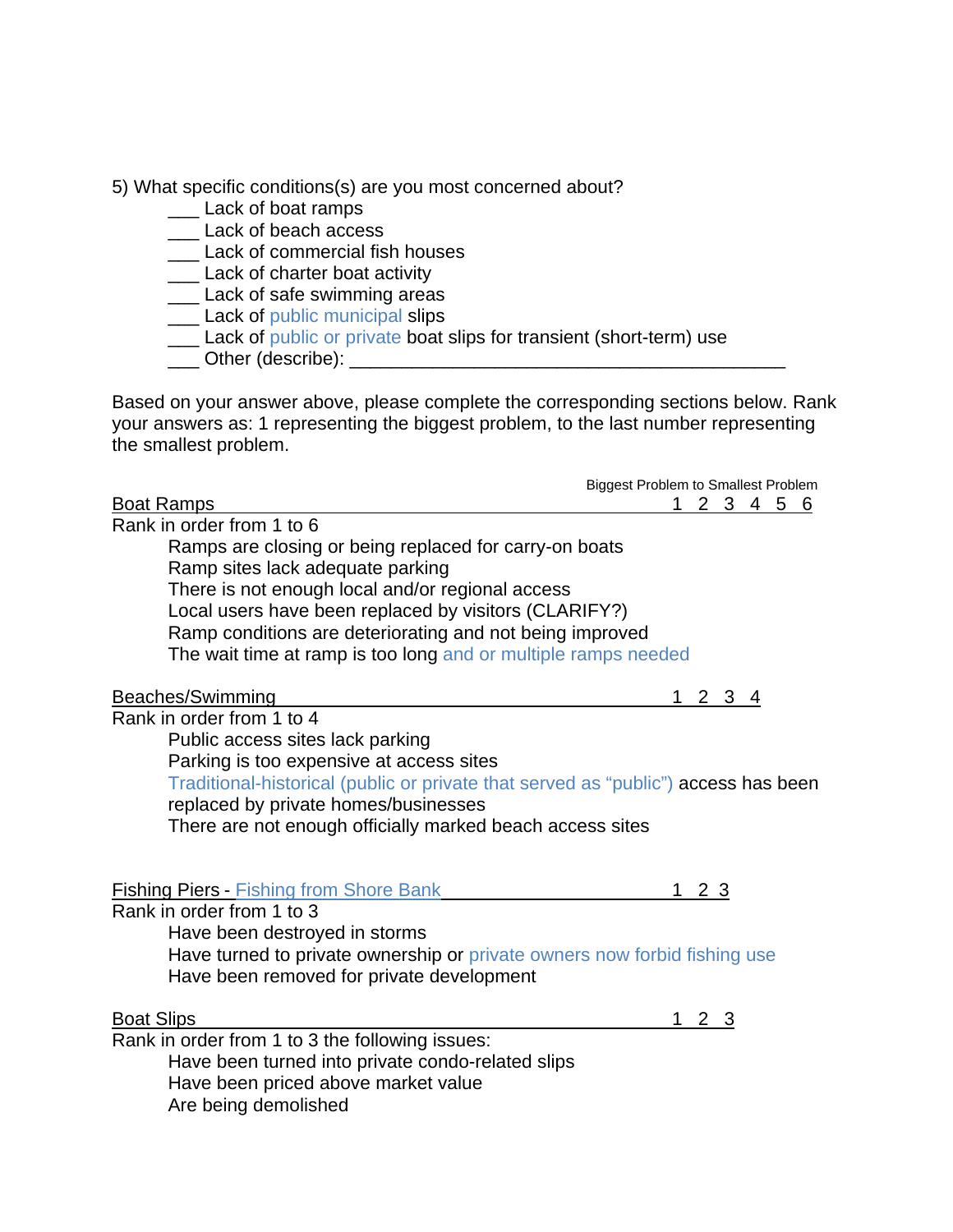5) What specific conditions(s) are you most concerned about?

- $\frac{1}{\sqrt{2}}$  Lack of boat ramps
- **Lack of beach access**
- \_\_\_ Lack of commercial fish houses
- **Lack of charter boat activity**
- **Lack of safe swimming areas**
- **Lack of public municipal slips**
- \_\_\_ Lack of public or private boat slips for transient (short-term) use
- \_\_\_ Other (describe): \_\_\_\_\_\_\_\_\_\_\_\_\_\_\_\_\_\_\_\_\_\_\_\_\_\_\_\_\_\_\_\_\_\_\_\_\_\_\_\_\_\_

Based on your answer above, please complete the corresponding sections below. Rank your answers as: 1 representing the biggest problem, to the last number representing the smallest problem.

|                                                                                    | <b>Biggest Problem to Smallest Problem</b> |  |     |       |           |  |  |
|------------------------------------------------------------------------------------|--------------------------------------------|--|-----|-------|-----------|--|--|
| <b>Boat Ramps</b>                                                                  |                                            |  |     |       | 2 3 4 5 6 |  |  |
| Rank in order from 1 to 6                                                          |                                            |  |     |       |           |  |  |
| Ramps are closing or being replaced for carry-on boats                             |                                            |  |     |       |           |  |  |
| Ramp sites lack adequate parking                                                   |                                            |  |     |       |           |  |  |
| There is not enough local and/or regional access                                   |                                            |  |     |       |           |  |  |
| Local users have been replaced by visitors (CLARIFY?)                              |                                            |  |     |       |           |  |  |
| Ramp conditions are deteriorating and not being improved                           |                                            |  |     |       |           |  |  |
| The wait time at ramp is too long and or multiple ramps needed                     |                                            |  |     |       |           |  |  |
| Beaches/Swimming                                                                   |                                            |  |     | 2 3 4 |           |  |  |
| Rank in order from 1 to 4                                                          |                                            |  |     |       |           |  |  |
| Public access sites lack parking                                                   |                                            |  |     |       |           |  |  |
| Parking is too expensive at access sites                                           |                                            |  |     |       |           |  |  |
| Traditional-historical (public or private that served as "public") access has been |                                            |  |     |       |           |  |  |
| replaced by private homes/businesses                                               |                                            |  |     |       |           |  |  |
| There are not enough officially marked beach access sites                          |                                            |  |     |       |           |  |  |
|                                                                                    |                                            |  |     |       |           |  |  |
| <b>Fishing Piers - Fishing from Shore Bank</b>                                     |                                            |  | 2 3 |       |           |  |  |
| Rank in order from 1 to 3                                                          |                                            |  |     |       |           |  |  |
| Have been destroyed in storms                                                      |                                            |  |     |       |           |  |  |
| Have turned to private ownership or private owners now forbid fishing use          |                                            |  |     |       |           |  |  |
| Have been removed for private development                                          |                                            |  |     |       |           |  |  |
| <b>Boat Slips</b>                                                                  |                                            |  | 2 3 |       |           |  |  |
| Rank in order from 1 to 3 the following issues:                                    |                                            |  |     |       |           |  |  |
| Have been turned into private condo-related slips                                  |                                            |  |     |       |           |  |  |
| Have been priced above market value                                                |                                            |  |     |       |           |  |  |
| Are being demolished                                                               |                                            |  |     |       |           |  |  |
|                                                                                    |                                            |  |     |       |           |  |  |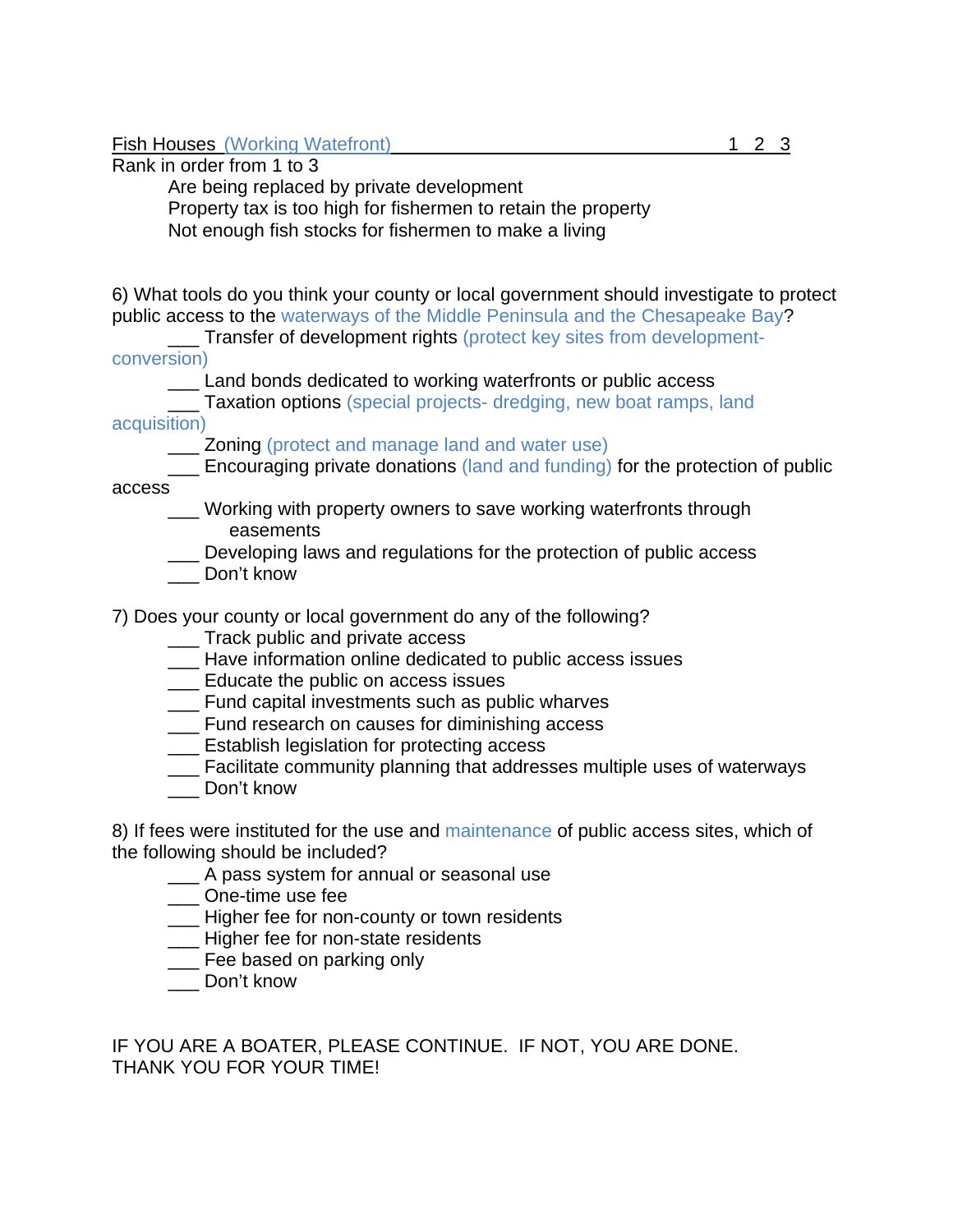Fish Houses (Working Watefront) 1 2 3

Rank in order from 1 to 3

Are being replaced by private development

Property tax is too high for fishermen to retain the property

Not enough fish stocks for fishermen to make a living

6) What tools do you think your county or local government should investigate to protect public access to the waterways of the Middle Peninsula and the Chesapeake Bay?

Transfer of development rights (protect key sites from development-

conversion)

\_\_\_ Land bonds dedicated to working waterfronts or public access

**\_\_\_ Taxation options (special projects- dredging, new boat ramps, land** acquisition)

**Zoning (protect and manage land and water use)** 

**Encouraging private donations (land and funding) for the protection of public** 

access

- \_\_\_ Working with property owners to save working waterfronts through easements
- Developing laws and regulations for the protection of public access
- \_\_\_ Don't know

7) Does your county or local government do any of the following?

- \_\_\_ Track public and private access
- \_\_\_ Have information online dedicated to public access issues
- **LEDUCATE THE PUBLIC ON ACCESS ISSUES**
- \_\_\_ Fund capital investments such as public wharves
- \_\_\_ Fund research on causes for diminishing access
- **Establish legislation for protecting access**
- \_\_\_ Facilitate community planning that addresses multiple uses of waterways \_\_\_ Don't know

8) If fees were instituted for the use and maintenance of public access sites, which of the following should be included?

- \_\_\_ A pass system for annual or seasonal use
- \_\_\_ One-time use fee
- \_\_\_ Higher fee for non-county or town residents
- \_\_\_ Higher fee for non-state residents
- \_\_\_ Fee based on parking only
- \_\_\_ Don't know

IF YOU ARE A BOATER, PLEASE CONTINUE. IF NOT, YOU ARE DONE. THANK YOU FOR YOUR TIME!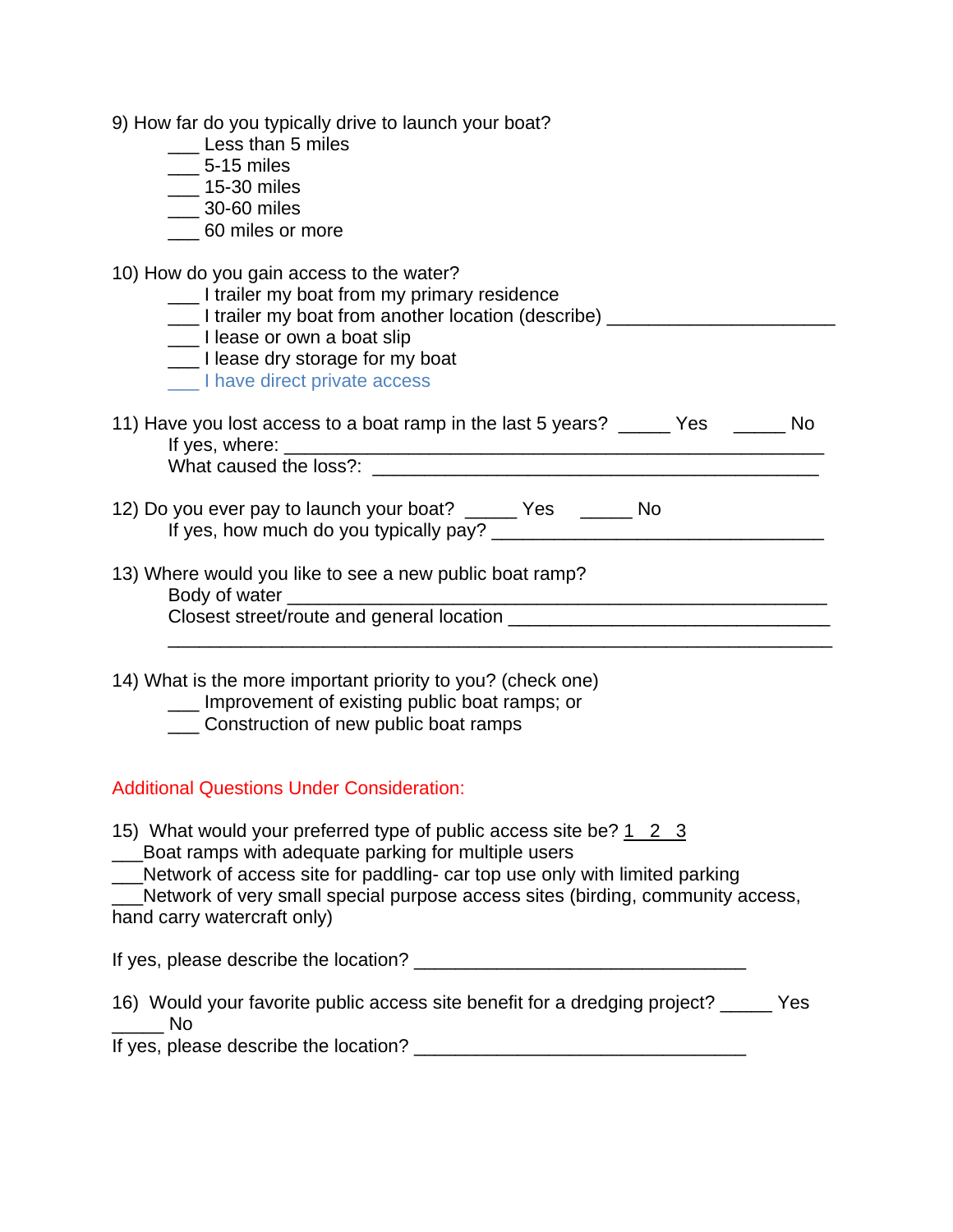| 9) How far do you typically drive to launch your boat?<br>Less than 5 miles<br>5-15 miles<br>__ 15-30 miles<br>$-$ 30-60 miles<br>60 miles or more                                                                                                                                                                                       |
|------------------------------------------------------------------------------------------------------------------------------------------------------------------------------------------------------------------------------------------------------------------------------------------------------------------------------------------|
| 10) How do you gain access to the water?<br>___ I trailer my boat from my primary residence<br>Let I trailer my boat from another location (describe) Let Electronic Let I trailer my boat from another location (describe)<br>__ I lease or own a boat slip<br>___ I lease dry storage for my boat<br>Last I have direct private access |
| 11) Have you lost access to a boat ramp in the last 5 years? _____ Yes _____ No                                                                                                                                                                                                                                                          |
| 12) Do you ever pay to launch your boat? ______ Yes ______ No                                                                                                                                                                                                                                                                            |
| 13) Where would you like to see a new public boat ramp?                                                                                                                                                                                                                                                                                  |
| 14) What is the more important priority to you? (check one)<br>___ Improvement of existing public boat ramps; or<br>___ Construction of new public boat ramps                                                                                                                                                                            |
| <b>Additional Questions Under Consideration:</b>                                                                                                                                                                                                                                                                                         |
| 15) What would your preferred type of public access site be? 1 2 3<br>Boat ramps with adequate parking for multiple users<br>Network of access site for paddling- car top use only with limited parking<br>Network of very small special purpose access sites (birding, community access,<br>hand carry watercraft only)                 |
|                                                                                                                                                                                                                                                                                                                                          |
| 16) Would your favorite public access site benefit for a dredging project? _____ Yes<br>in it is not been been been been                                                                                                                                                                                                                 |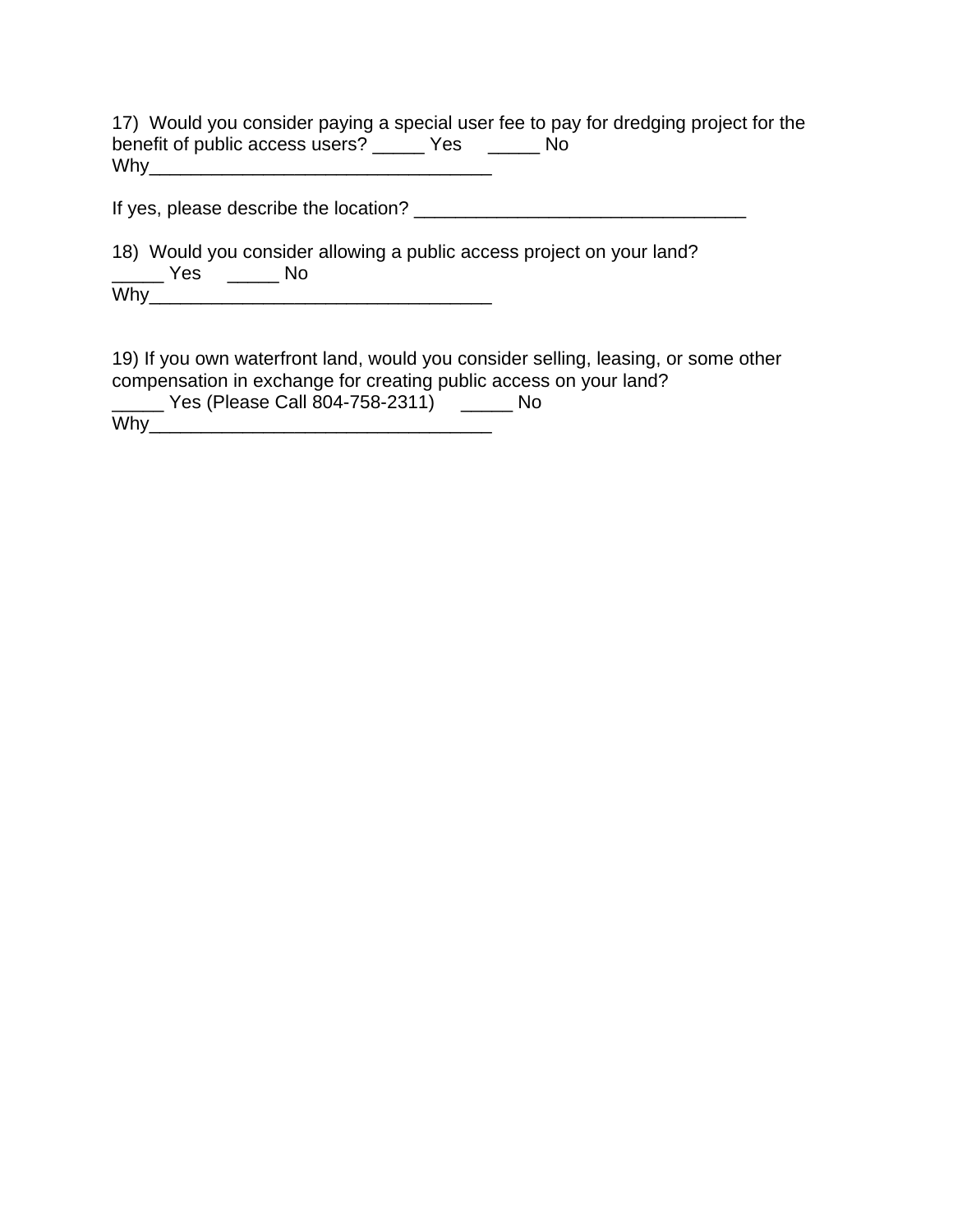17) Would you consider paying a special user fee to pay for dredging project for the benefit of public access users? \_\_\_\_\_ Yes \_\_\_\_\_ No Why\_\_\_\_\_\_\_\_\_\_\_\_\_\_\_\_\_\_\_\_\_\_\_\_\_\_\_\_\_\_\_\_\_

If yes, please describe the location? \_\_\_\_\_\_\_\_\_\_\_\_\_\_\_\_\_\_\_\_\_\_\_\_\_\_\_\_\_\_\_\_

18) Would you consider allowing a public access project on your land? \_\_\_\_\_ Yes \_\_\_\_\_ No Why\_\_\_\_\_\_\_\_\_\_\_\_\_\_\_\_\_\_\_\_\_\_\_\_\_\_\_\_\_\_\_\_\_

19) If you own waterfront land, would you consider selling, leasing, or some other compensation in exchange for creating public access on your land?

\_\_\_\_\_ Yes (Please Call 804-758-2311) \_\_\_\_\_ No

Why\_\_\_\_\_\_\_\_\_\_\_\_\_\_\_\_\_\_\_\_\_\_\_\_\_\_\_\_\_\_\_\_\_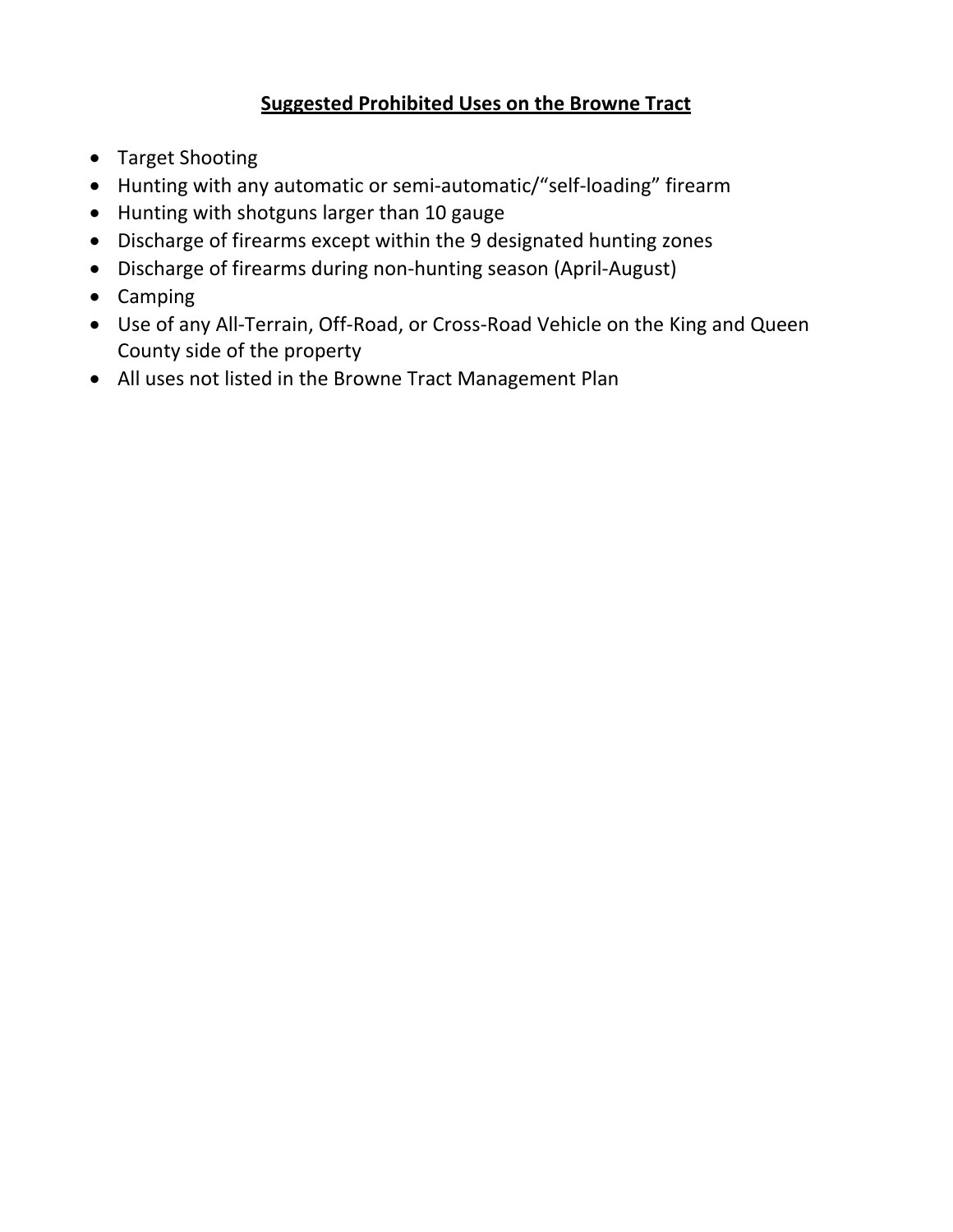# **Suggested Prohibited Uses on the Browne Tract**

- Target Shooting
- Hunting with any automatic or semi‐automatic/"self‐loading" firearm
- Hunting with shotguns larger than 10 gauge
- Discharge of firearms except within the 9 designated hunting zones
- Discharge of firearms during non‐hunting season (April‐August)
- Camping
- Use of any All‐Terrain, Off‐Road, or Cross‐Road Vehicle on the King and Queen County side of the property
- All uses not listed in the Browne Tract Management Plan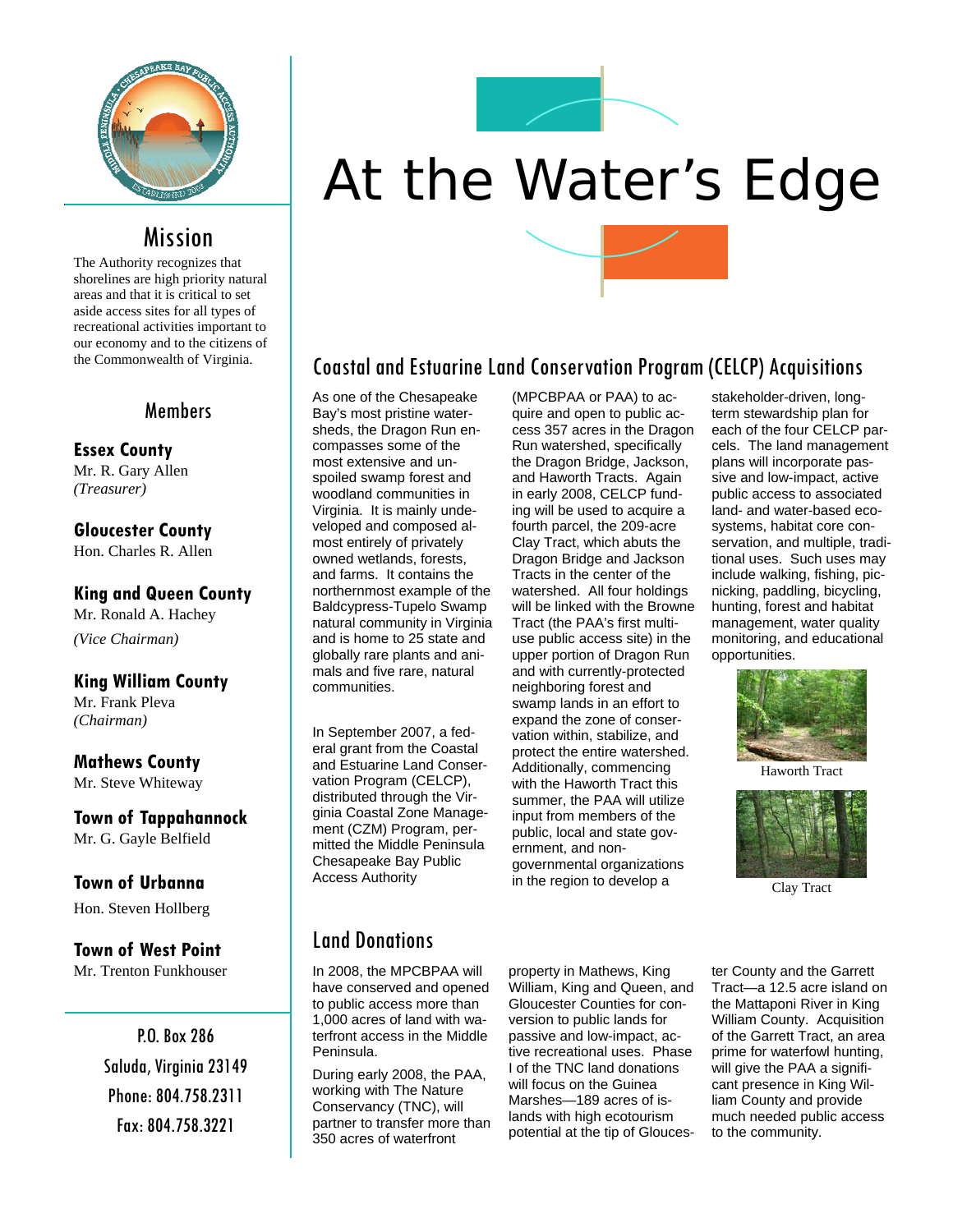

# Mission

The Authority recognizes that shorelines are high priority natural areas and that it is critical to set aside access sites for all types of recreational activities important to our economy and to the citizens of the Commonwealth of Virginia.

# Members

## **Essex County**

Mr. R. Gary Allen *(Treasurer)*

**Gloucester County** Hon. Charles R. Allen

## **King and Queen County**

Mr. Ronald A. Hachey *(Vice Chairman)*

# **King William County**

Mr. Frank Pleva *(Chairman)*

## **Mathews County**

Mr. Steve Whiteway

**Town of Tappahannock** Mr. G. Gayle Belfield

## **Town of Urbanna**

Hon. Steven Hollberg

## **Town of West Point**

Mr. Trenton Funkhouser

P.O. Box 286 Saluda, Virginia 23149 Phone: 804.758.2311 Fax: 804.758.3221

# At the Water's Edge

# Coastal and Estuarine Land Conservation Program (CELCP) Acquisitions

As one of the Chesapeake Bay's most pristine watersheds, the Dragon Run encompasses some of the most extensive and unspoiled swamp forest and woodland communities in Virginia. It is mainly undeveloped and composed almost entirely of privately owned wetlands, forests, and farms. It contains the northernmost example of the Baldcypress-Tupelo Swamp natural community in Virginia and is home to 25 state and globally rare plants and animals and five rare, natural communities.

In September 2007, a federal grant from the Coastal and Estuarine Land Conservation Program (CELCP), distributed through the Virginia Coastal Zone Management (CZM) Program, permitted the Middle Peninsula Chesapeake Bay Public Access Authority

(MPCBPAA or PAA) to acquire and open to public access 357 acres in the Dragon Run watershed, specifically the Dragon Bridge, Jackson, and Haworth Tracts. Again in early 2008, CELCP funding will be used to acquire a fourth parcel, the 209-acre Clay Tract, which abuts the Dragon Bridge and Jackson Tracts in the center of the watershed. All four holdings will be linked with the Browne Tract (the PAA's first multiuse public access site) in the upper portion of Dragon Run and with currently-protected neighboring forest and swamp lands in an effort to expand the zone of conservation within, stabilize, and protect the entire watershed. Additionally, commencing with the Haworth Tract this summer, the PAA will utilize input from members of the public, local and state government, and nongovernmental organizations in the region to develop a

stakeholder-driven, longterm stewardship plan for each of the four CELCP parcels. The land management plans will incorporate passive and low-impact, active public access to associated land- and water-based ecosystems, habitat core conservation, and multiple, traditional uses. Such uses may include walking, fishing, picnicking, paddling, bicycling, hunting, forest and habitat management, water quality monitoring, and educational opportunities.



Haworth Tract



Clay Tract

# Land Donations

In 2008, the MPCBPAA will have conserved and opened to public access more than 1,000 acres of land with waterfront access in the Middle Peninsula.

During early 2008, the PAA, working with The Nature Conservancy (TNC), will partner to transfer more than 350 acres of waterfront

property in Mathews, King William, King and Queen, and Gloucester Counties for conversion to public lands for passive and low-impact, active recreational uses. Phase I of the TNC land donations will focus on the Guinea Marshes—189 acres of islands with high ecotourism potential at the tip of Gloucester County and the Garrett Tract—a 12.5 acre island on the Mattaponi River in King William County. Acquisition of the Garrett Tract, an area prime for waterfowl hunting, will give the PAA a significant presence in King William County and provide much needed public access to the community.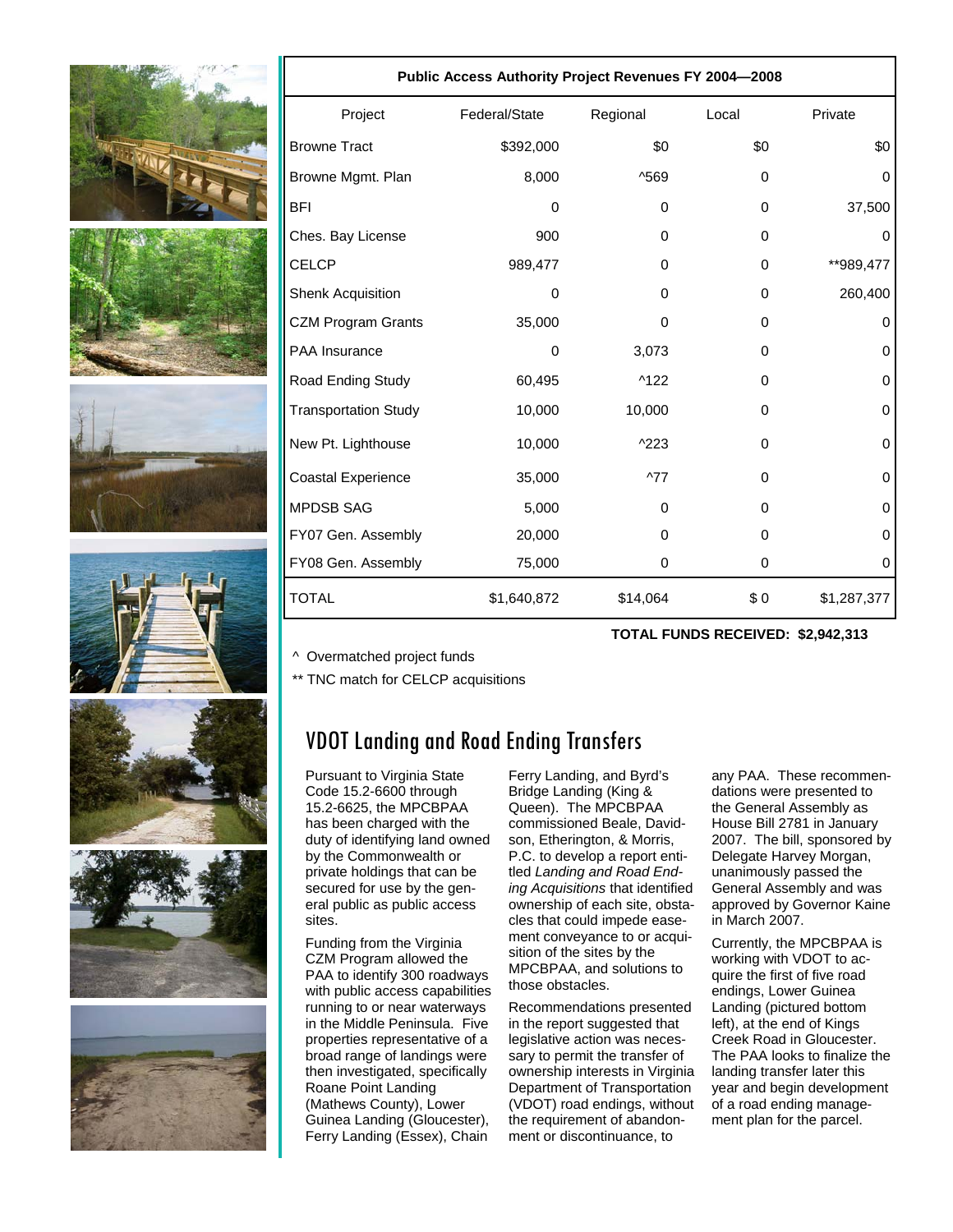| Public Access Authority Project Revenues FY 2004-2008 |               |                |             |             |  |  |  |
|-------------------------------------------------------|---------------|----------------|-------------|-------------|--|--|--|
| Project                                               | Federal/State | Regional       | Local       | Private     |  |  |  |
| <b>Browne Tract</b>                                   | \$392,000     | \$0            | \$0         | \$0         |  |  |  |
| Browne Mgmt. Plan                                     | 8,000         | ^569           | $\Omega$    | $\mathbf 0$ |  |  |  |
| <b>BFI</b>                                            | $\Omega$      | $\Omega$       | 0           | 37,500      |  |  |  |
| Ches. Bay License                                     | 900           | $\Omega$       | 0           | 0           |  |  |  |
| <b>CELCP</b>                                          | 989,477       | $\Omega$       | 0           | **989,477   |  |  |  |
| Shenk Acquisition                                     | $\Omega$      | $\Omega$       | $\mathbf 0$ | 260,400     |  |  |  |
| <b>CZM Program Grants</b>                             | 35,000        | $\Omega$       | 0           | $\Omega$    |  |  |  |
| PAA Insurance                                         | $\Omega$      | 3,073          | $\Omega$    | $\Omega$    |  |  |  |
| Road Ending Study                                     | 60,495        | $^{\wedge}122$ | 0           | 0           |  |  |  |
| <b>Transportation Study</b>                           | 10,000        | 10,000         | 0           | 0           |  |  |  |
| New Pt. Lighthouse                                    | 10,000        | ^223           | $\mathbf 0$ | $\mathbf 0$ |  |  |  |
| <b>Coastal Experience</b>                             | 35,000        | $^{\prime}77$  | 0           | $\mathbf 0$ |  |  |  |
| <b>MPDSB SAG</b>                                      | 5,000         | $\Omega$       | 0           | $\Omega$    |  |  |  |
| FY07 Gen. Assembly                                    | 20,000        | $\Omega$       | 0           | 0           |  |  |  |
| FY08 Gen. Assembly                                    | 75,000        | 0              | 0           | 0           |  |  |  |
| <b>TOTAL</b>                                          | \$1,640,872   | \$14,064       | \$0         | \$1,287,377 |  |  |  |

**TOTAL FUNDS RECEIVED: \$2,942,313**

^ Overmatched project funds

\*\* TNC match for CELCP acquisitions

# VDOT Landing and Road Ending Transfers

Pursuant to Virginia State Code 15.2-6600 through 15.2-6625, the MPCBPAA has been charged with the duty of identifying land owned by the Commonwealth or private holdings that can be secured for use by the general public as public access sites.

Funding from the Virginia CZM Program allowed the PAA to identify 300 roadways with public access capabilities running to or near waterways in the Middle Peninsula. Five properties representative of a broad range of landings were then investigated, specifically Roane Point Landing (Mathews County), Lower Guinea Landing (Gloucester), Ferry Landing (Essex), Chain

Ferry Landing, and Byrd's Bridge Landing (King & Queen). The MPCBPAA commissioned Beale, Davidson, Etherington, & Morris, P.C. to develop a report entitled *Landing and Road Ending Acquisitions* that identified ownership of each site, obstacles that could impede easement conveyance to or acquisition of the sites by the MPCBPAA, and solutions to those obstacles.

Recommendations presented in the report suggested that legislative action was necessary to permit the transfer of ownership interests in Virginia Department of Transportation (VDOT) road endings, without the requirement of abandonment or discontinuance, to

any PAA. These recommendations were presented to the General Assembly as House Bill 2781 in January 2007. The bill, sponsored by Delegate Harvey Morgan, unanimously passed the General Assembly and was approved by Governor Kaine in March 2007.

Currently, the MPCBPAA is working with VDOT to acquire the first of five road endings, Lower Guinea Landing (pictured bottom left), at the end of Kings Creek Road in Gloucester. The PAA looks to finalize the landing transfer later this year and begin development of a road ending management plan for the parcel.



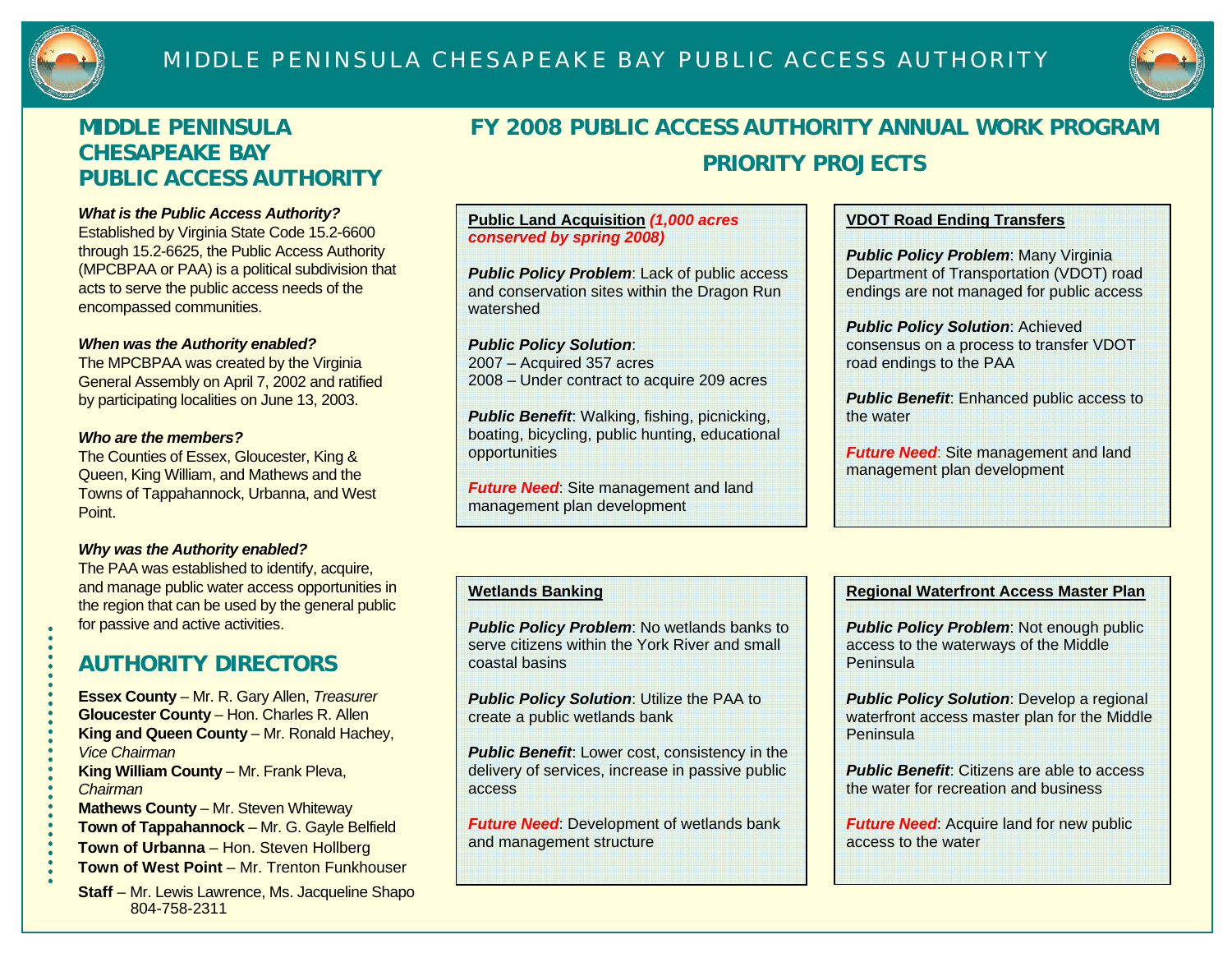



#### *What is the Public Access Authority?*

Established by Virginia State Code 15.2-6600 through 15.2-6625, the Public Access Authority (MPCBPAA or PAA) is a political subdivision that acts to serve the public access needs of the encompassed communities.

### *When was the Authority enabled?*

The MPCBPAA was created by the Virginia General Assembly on April 7, 2002 and ratified by participating localities on June 13, 2003.

#### *Who are the members?*

The Counties of Essex, Gloucester, King & Queen, King William, and Mathews and the Towns of Tappahannock, Urbanna, and West Point.

### *Why was the Authority enabled?*

The PAA was established to identify, acquire, and manage public water access opportunities in the region that can be used by the general public for passive and active activities.

# **AUTHORITY DIRECTORS**

**Essex County** – Mr. R. Gary Allen, *Treasurer* **Gloucester County** – Hon. Charles R. Allen **King and Queen County** – Mr. Ronald Hachey, *Vice Chairman***King William County** – Mr. Frank Pleva, *Chairman***Mathews County** – Mr. Steven Whiteway **Town of Tappahannock** – Mr. G. Gayle Belfield **Town of Urbanna** – Hon. Steven Hollberg **Town of West Point - Mr. Trenton Funkhouser** 

**Staff** – Mr. Lewis Lawrence, Ms. Jacqueline Shapo 804-758-2311

# **FY 2008 PUBLIC ACCESS AUTHORITY ANNUAL WORK PROGRAM PRIORITY PROJECTS**

## **Public Land Acquisition** *(1,000 acres conserved by spring 2008)*

*Public Policy Problem*: Lack of public access and conservation sites within the Dragon Run watershed

*Public Policy Solution*: 2007 – Acquired 357 acres 2008 – Under contract to acquire 209 acres

*Public Benefit*: Walking, fishing, picnicking, boating, bicycling, public hunting, educational opportunities

*Future Need:* Site management and land management plan development

## **VDOT Road Ending Transfers**

*Public Policy Problem*: Many Virginia Department of Transportation (VDOT) road endings are not managed for public access

*Public Policy Solution*: Achieved consensus on a process to transfer VDOT road endings to the PAA

*Public Benefit*: Enhanced public access to the water

*Future Need:* Site management and land management plan development

## **Wetlands Banking**

*Public Policy Problem*: No wetlands banks to serve citizens within the York River and small coastal basins

*Public Policy Solution*: Utilize the PAA to create a public wetlands bank

**Public Benefit:** Lower cost, consistency in the delivery of services, increase in passive public access

*Future Need: Development of wetlands bank* and management structure

## **Regional Waterfront Access Master Plan**

*Public Policy Problem*: Not enough public access to the waterways of the Middle Peninsula

*Public Policy Solution*: Develop a regional waterfront access master plan for the Middle Peninsula

*Public Benefit*: Citizens are able to access the water for recreation and business

*Future Need:* Acquire land for new public access to the water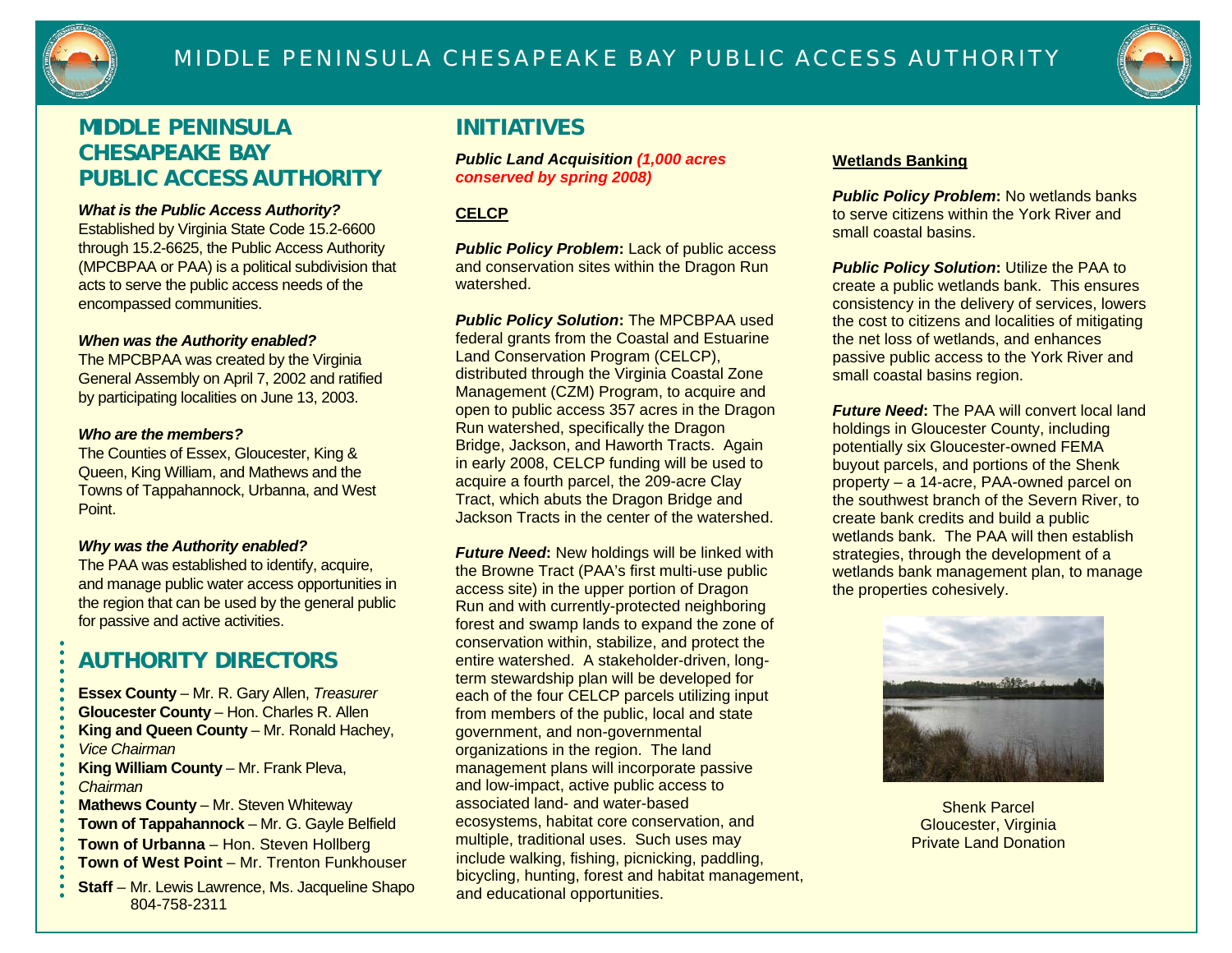



#### *What is the Public Access Authority?*

Established by Virginia State Code 15.2-6600 through 15.2-6625, the Public Access Authority (MPCBPAA or PAA) is a political subdivision that acts to serve the public access needs of the encompassed communities.

#### *When was the Authority enabled?*

The MPCBPAA was created by the Virginia General Assembly on April 7, 2002 and ratified by participating localities on June 13, 2003.

#### *Who are the members?*

The Counties of Essex, Gloucester, King & Queen, King William, and Mathews and the Towns of Tappahannock, Urbanna, and West Point.

#### *Why was the Authority enabled?*

The PAA was established to identify, acquire, and manage public water access opportunities in the region that can be used by the general public for passive and active activities.

# **AUTHORITY DIRECTORS**

**Essex County** – Mr. R. Gary Allen, *Treasurer* **Gloucester County** – Hon. Charles R. Allen **King and Queen County** – Mr. Ronald Hachey, *Vice Chairman***King William County** – Mr. Frank Pleva, *Chairman***Mathews County** – Mr. Steven Whiteway **Town of Tappahannock** – Mr. G. Gayle Belfield **Town of Urbanna** – Hon. Steven Hollberg **Town of West Point – Mr. Trenton Funkhouser Staff** – Mr. Lewis Lawrence, Ms. Jacqueline Shapo 804-758-2311

# **INITIATIVES**

*Public Land Acquisition (1,000 acres conserved by spring 2008)*

## **CELCP**

*Public Policy Problem***:** Lack of public access and conservation sites within the Dragon Run watershed.

*Public Policy Solution***:** The MPCBPAA used federal grants from the Coastal and Estuarine Land Conservation Program (CELCP), distributed through the Virginia Coastal Zone Management (CZM) Program, to acquire and open to public access 357 acres in the Dragon Run watershed, specifically the Dragon Bridge, Jackson, and Haworth Tracts. Again in early 2008, CELCP funding will be used to acquire a fourth parcel, the 209-acre Clay Tract, which abuts the Dragon Bridge and Jackson Tracts in the center of the watershed.

*Future Need***:** New holdings will be linked with the Browne Tract (PAA's first multi-use public access site) in the upper portion of Dragon Run and with currently-protected neighboring forest and swamp lands to expand the zone of conservation within, stabilize, and protect the entire watershed. A stakeholder-driven, longterm stewardship plan will be developed for each of the four CELCP parcels utilizing input from members of the public, local and state government, and non-governmental organizations in the region. The land management plans will incorporate passive and low-impact, active public access to associated land- and water-based ecosystems, habitat core conservation, and multiple, traditional uses. Such uses may include walking, fishing, picnicking, paddling, bicycling, hunting, forest and habitat management, and educational opportunities.

#### **Wetlands Banking**

*Public Policy Problem***:** No wetlands banks to serve citizens within the York River and small coastal basins.

*Public Policy Solution***:** Utilize the PAA to create a public wetlands bank. This ensures consistency in the delivery of services, lowers the cost to citizens and localities of mitigating the net loss of wetlands, and enhances passive public access to the York River and small coastal basins region.

*Future Need***:** The PAA will convert local land holdings in Gloucester County, including potentially six Gloucester-owned FEMA buyout parcels, and portions of the Shenk property – a 14-acre, PAA-owned parcel on the southwest branch of the Severn River, to create bank credits and build a public wetlands bank. The PAA will then establish strategies, through the development of a wetlands bank management plan, to manage the properties cohesively.



Shenk Parcel Gloucester, Virginia Private Land Donation